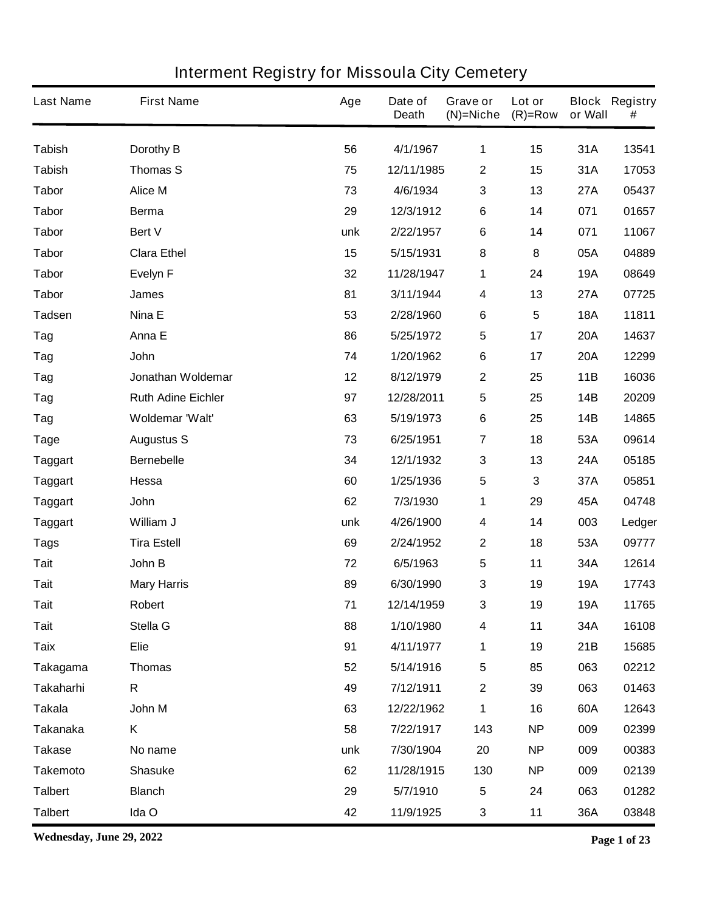| <b>Last Name</b> | <b>First Name</b>         | Age | Date of<br><b>Death</b> | Grave or<br>$(N)$ =Niche | Lot or<br>$(R)=Row$ | or Wall    | <b>Block Registry</b><br># |
|------------------|---------------------------|-----|-------------------------|--------------------------|---------------------|------------|----------------------------|
| <b>Tabish</b>    | Dorothy B                 | 56  | 4/1/1967                | 1                        | 15                  | 31A        | 13541                      |
| <b>Tabish</b>    | <b>Thomas S</b>           | 75  | 12/11/1985              | $\boldsymbol{2}$         | 15                  | 31A        | 17053                      |
| <b>Tabor</b>     | <b>Alice M</b>            | 73  | 4/6/1934                | $\mathbf{3}$             | 13                  | <b>27A</b> | 05437                      |
| <b>Tabor</b>     | <b>Berma</b>              | 29  | 12/3/1912               | 6                        | 14                  | 071        | 01657                      |
| <b>Tabor</b>     | <b>Bert V</b>             | unk | 2/22/1957               | $\bf 6$                  | 14                  | 071        | 11067                      |
| <b>Tabor</b>     | <b>Clara Ethel</b>        | 15  | 5/15/1931               | ${\bf 8}$                | $\bf 8$             | 05A        | 04889                      |
| <b>Tabor</b>     | <b>Evelyn F</b>           | 32  | 11/28/1947              | 1                        | 24                  | <b>19A</b> | 08649                      |
| <b>Tabor</b>     | <b>James</b>              | 81  | 3/11/1944               | $\overline{\mathbf{4}}$  | 13                  | 27A        | 07725                      |
| <b>Tadsen</b>    | Nina E                    | 53  | 2/28/1960               | $\bf 6$                  | 5                   | <b>18A</b> | 11811                      |
| Tag              | Anna E                    | 86  | 5/25/1972               | $\sqrt{5}$               | 17                  | <b>20A</b> | 14637                      |
| Tag              | John                      | 74  | 1/20/1962               | 6                        | 17                  | <b>20A</b> | 12299                      |
| Tag              | Jonathan Woldemar         | 12  | 8/12/1979               | $\mathbf{2}$             | 25                  | 11B        | 16036                      |
| Tag              | <b>Ruth Adine Eichler</b> | 97  | 12/28/2011              | $\sqrt{5}$               | 25                  | 14B        | 20209                      |
| Tag              | Woldemar 'Walt'           | 63  | 5/19/1973               | $\bf 6$                  | 25                  | 14B        | 14865                      |
| <b>Tage</b>      | <b>Augustus S</b>         | 73  | 6/25/1951               | $\overline{7}$           | 18                  | 53A        | 09614                      |
| <b>Taggart</b>   | <b>Bernebelle</b>         | 34  | 12/1/1932               | $\mathbf 3$              | 13                  | 24A        | 05185                      |
| <b>Taggart</b>   | Hessa                     | 60  | 1/25/1936               | $\sqrt{5}$               | 3                   | 37A        | 05851                      |
| <b>Taggart</b>   | John                      | 62  | 7/3/1930                | 1                        | 29                  | 45A        | 04748                      |
| <b>Taggart</b>   | William J                 | unk | 4/26/1900               | $\boldsymbol{4}$         | 14                  | 003        | Ledger                     |
| <b>Tags</b>      | <b>Tira Estell</b>        | 69  | 2/24/1952               | $\boldsymbol{2}$         | 18                  | 53A        | 09777                      |
| <b>Tait</b>      | John B                    | 72  | 6/5/1963                | $\overline{\mathbf{5}}$  | 11                  | 34A        | 12614                      |
| <b>Tait</b>      | <b>Mary Harris</b>        | 89  | 6/30/1990               | $\mathbf{3}$             | 19                  | <b>19A</b> | 17743                      |
| <b>Tait</b>      | Robert                    | 71  | 12/14/1959              | 3                        | 19                  | <b>19A</b> | 11765                      |
| <b>Tait</b>      | Stella G                  | 88  | 1/10/1980               | 4                        | 11                  | 34A        | 16108                      |
| <b>Taix</b>      | <b>Elie</b>               | 91  | 4/11/1977               | 1                        | 19                  | 21B        | 15685                      |
| Takagama         | <b>Thomas</b>             | 52  | 5/14/1916               | $\sqrt{5}$               | 85                  | 063        | 02212                      |
| <b>Takaharhi</b> | R                         | 49  | 7/12/1911               | $\mathbf 2$              | 39                  | 063        | 01463                      |
| <b>Takala</b>    | John M                    | 63  | 12/22/1962              | 1                        | 16                  | 60A        | 12643                      |
| <b>Takanaka</b>  | Κ                         | 58  | 7/22/1917               | 143                      | <b>NP</b>           | 009        | 02399                      |
| <b>Takase</b>    | No name                   | unk | 7/30/1904               | 20                       | <b>NP</b>           | 009        | 00383                      |
| <b>Takemoto</b>  | <b>Shasuke</b>            | 62  | 11/28/1915              | 130                      | <b>NP</b>           | 009        | 02139                      |
| <b>Talbert</b>   | <b>Blanch</b>             | 29  | 5/7/1910                | $\sqrt{5}$               | 24                  | 063        | 01282                      |
| <b>Talbert</b>   | Ida O                     | 42  | 11/9/1925               | $\mathbf{3}$             | 11                  | 36A        | 03848                      |

**Wednesday, June 29, 2022 Page 1 of 23**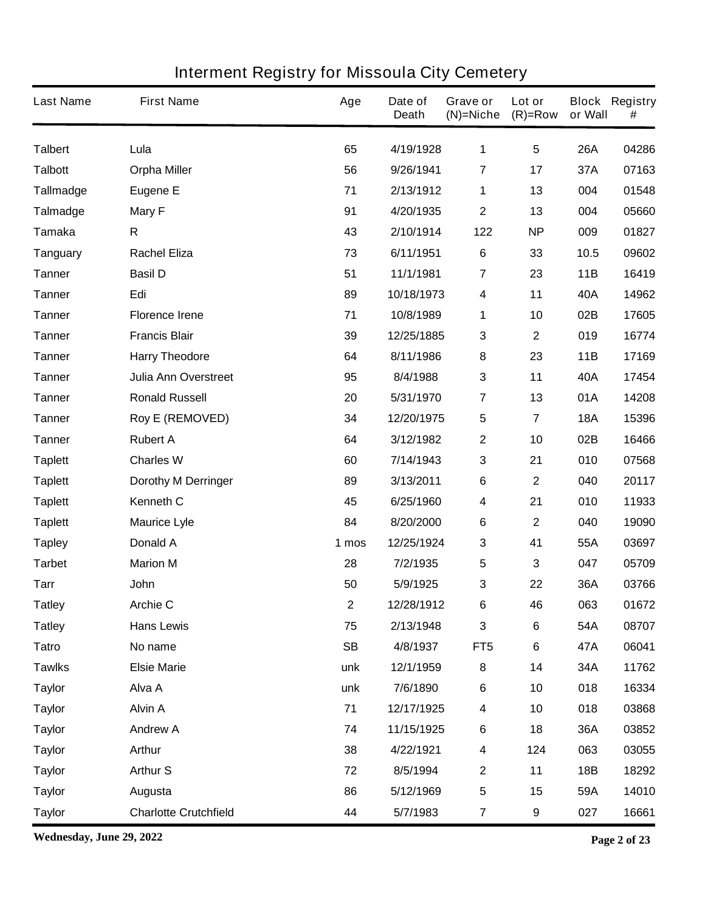| <b>Last Name</b> | <b>First Name</b>            | Age       | Date of<br><b>Death</b> | Grave or<br>$(N)$ =Niche | Lot or<br>$(R)=Row$     | or Wall    | <b>Block Registry</b><br># |
|------------------|------------------------------|-----------|-------------------------|--------------------------|-------------------------|------------|----------------------------|
| <b>Talbert</b>   | Lula                         | 65        | 4/19/1928               | 1                        | $5\phantom{.0}$         | <b>26A</b> | 04286                      |
| <b>Talbott</b>   | <b>Orpha Miller</b>          | 56        | 9/26/1941               | $\overline{7}$           | 17                      | 37A        | 07163                      |
| <b>Tallmadge</b> | <b>Eugene E</b>              | 71        | 2/13/1912               | 1                        | 13                      | 004        | 01548                      |
| <b>Talmadge</b>  | <b>Mary F</b>                | 91        | 4/20/1935               | $\mathbf{2}$             | 13                      | 004        | 05660                      |
| <b>Tamaka</b>    | R                            | 43        | 2/10/1914               | 122                      | <b>NP</b>               | 009        | 01827                      |
| <b>Tanguary</b>  | <b>Rachel Eliza</b>          | 73        | 6/11/1951               | $6\phantom{1}6$          | 33                      | 10.5       | 09602                      |
| <b>Tanner</b>    | <b>Basil D</b>               | 51        | 11/1/1981               | 7                        | 23                      | 11B        | 16419                      |
| <b>Tanner</b>    | Edi                          | 89        | 10/18/1973              | $\overline{\mathbf{4}}$  | 11                      | 40A        | 14962                      |
| <b>Tanner</b>    | <b>Florence Irene</b>        | 71        | 10/8/1989               | 1                        | 10                      | 02B        | 17605                      |
| <b>Tanner</b>    | <b>Francis Blair</b>         | 39        | 12/25/1885              | $\mathbf{3}$             | $\mathbf 2$             | 019        | 16774                      |
| <b>Tanner</b>    | <b>Harry Theodore</b>        | 64        | 8/11/1986               | 8                        | 23                      | 11B        | 17169                      |
| <b>Tanner</b>    | <b>Julia Ann Overstreet</b>  | 95        | 8/4/1988                | $\mathbf 3$              | 11                      | 40A        | 17454                      |
| <b>Tanner</b>    | <b>Ronald Russell</b>        | 20        | 5/31/1970               | 7                        | 13                      | 01A        | 14208                      |
| <b>Tanner</b>    | <b>Roy E (REMOVED)</b>       | 34        | 12/20/1975              | $\sqrt{5}$               | $\overline{\mathbf{7}}$ | <b>18A</b> | 15396                      |
| <b>Tanner</b>    | <b>Rubert A</b>              | 64        | 3/12/1982               | $\boldsymbol{2}$         | 10                      | 02B        | 16466                      |
| <b>Taplett</b>   | <b>Charles W</b>             | 60        | 7/14/1943               | 3                        | 21                      | 010        | 07568                      |
| <b>Taplett</b>   | <b>Dorothy M Derringer</b>   | 89        | 3/13/2011               | $\bf 6$                  | 2                       | 040        | 20117                      |
| <b>Taplett</b>   | <b>Kenneth C</b>             | 45        | 6/25/1960               | $\boldsymbol{4}$         | 21                      | 010        | 11933                      |
| <b>Taplett</b>   | <b>Maurice Lyle</b>          | 84        | 8/20/2000               | $\bf 6$                  | 2                       | 040        | 19090                      |
| <b>Tapley</b>    | <b>Donald A</b>              | 1 mos     | 12/25/1924              | $\mathbf 3$              | 41                      | 55A        | 03697                      |
| <b>Tarbet</b>    | <b>Marion M</b>              | 28        | 7/2/1935                | $\overline{\mathbf{5}}$  | 3                       | 047        | 05709                      |
| <b>Tarr</b>      | John                         | 50        | 5/9/1925                | $\mathbf{3}$             | 22                      | 36A        | 03766                      |
| <b>Tatley</b>    | <b>Archie C</b>              | 2         | 12/28/1912              | 6                        | 46                      | 063        | 01672                      |
| <b>Tatley</b>    | <b>Hans Lewis</b>            | 75        | 2/13/1948               | $\mathbf{3}$             | 6                       | 54A        | 08707                      |
| <b>Tatro</b>     | No name                      | <b>SB</b> | 4/8/1937                | FT <sub>5</sub>          | 6                       | 47A        | 06041                      |
| <b>Tawlks</b>    | <b>Elsie Marie</b>           | unk       | 12/1/1959               | 8                        | 14                      | 34A        | 11762                      |
| <b>Taylor</b>    | Alva A                       | unk       | 7/6/1890                | $\bf 6$                  | 10                      | 018        | 16334                      |
| <b>Taylor</b>    | <b>Alvin A</b>               | 71        | 12/17/1925              | $\overline{\mathbf{4}}$  | 10                      | 018        | 03868                      |
| <b>Taylor</b>    | <b>Andrew A</b>              | 74        | 11/15/1925              | $\bf 6$                  | 18                      | 36A        | 03852                      |
| <b>Taylor</b>    | <b>Arthur</b>                | 38        | 4/22/1921               | $\boldsymbol{4}$         | 124                     | 063        | 03055                      |
| <b>Taylor</b>    | <b>Arthur S</b>              | 72        | 8/5/1994                | $\mathbf{2}$             | 11                      | 18B        | 18292                      |
| <b>Taylor</b>    | Augusta                      | 86        | 5/12/1969               | $\sqrt{5}$               | 15                      | 59A        | 14010                      |
| <b>Taylor</b>    | <b>Charlotte Crutchfield</b> | 44        | 5/7/1983                | $\overline{7}$           | 9                       | 027        | 16661                      |

**Wednesday, June 29, 2022 Page 2 of 23**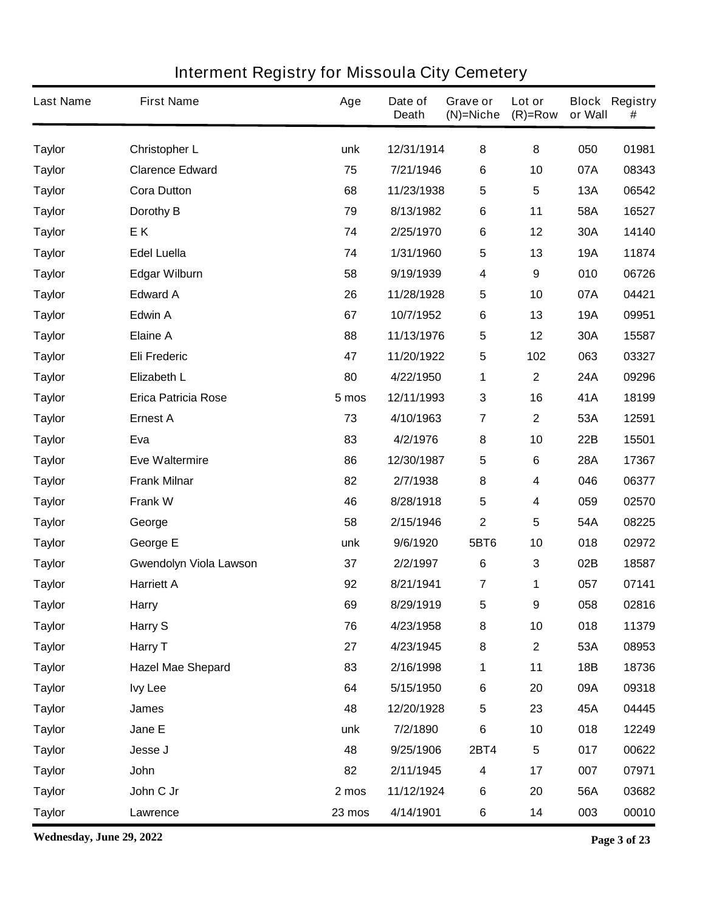| <b>Last Name</b> | <b>First Name</b>             | Age    | Date of<br><b>Death</b> | Grave or<br>$(N)$ =Niche | Lot or<br>$(R)=Row$     | or Wall    | <b>Block Registry</b><br># |
|------------------|-------------------------------|--------|-------------------------|--------------------------|-------------------------|------------|----------------------------|
| <b>Taylor</b>    | <b>Christopher L</b>          | unk    | 12/31/1914              | 8                        | 8                       | 050        | 01981                      |
| <b>Taylor</b>    | <b>Clarence Edward</b>        | 75     | 7/21/1946               | 6                        | 10                      | 07A        | 08343                      |
| <b>Taylor</b>    | <b>Cora Dutton</b>            | 68     | 11/23/1938              | 5                        | $5\phantom{.0}$         | <b>13A</b> | 06542                      |
| <b>Taylor</b>    | Dorothy B                     | 79     | 8/13/1982               | 6                        | 11                      | 58A        | 16527                      |
| <b>Taylor</b>    | EK.                           | 74     | 2/25/1970               | 6                        | 12                      | 30A        | 14140                      |
| <b>Taylor</b>    | <b>Edel Luella</b>            | 74     | 1/31/1960               | 5                        | 13                      | <b>19A</b> | 11874                      |
| <b>Taylor</b>    | <b>Edgar Wilburn</b>          | 58     | 9/19/1939               | 4                        | 9                       | 010        | 06726                      |
| <b>Taylor</b>    | <b>Edward A</b>               | 26     | 11/28/1928              | 5                        | 10                      | 07A        | 04421                      |
| <b>Taylor</b>    | <b>Edwin A</b>                | 67     | 10/7/1952               | 6                        | 13                      | <b>19A</b> | 09951                      |
| <b>Taylor</b>    | <b>Elaine A</b>               | 88     | 11/13/1976              | 5                        | 12                      | 30A        | 15587                      |
| <b>Taylor</b>    | <b>Eli Frederic</b>           | 47     | 11/20/1922              | 5                        | 102                     | 063        | 03327                      |
| <b>Taylor</b>    | <b>Elizabeth L</b>            | 80     | 4/22/1950               | 1                        | $\mathbf 2$             | 24A        | 09296                      |
| <b>Taylor</b>    | <b>Erica Patricia Rose</b>    | 5 mos  | 12/11/1993              | 3                        | 16                      | 41A        | 18199                      |
| <b>Taylor</b>    | <b>Ernest A</b>               | 73     | 4/10/1963               | 7                        | $\mathbf 2$             | 53A        | 12591                      |
| <b>Taylor</b>    | Eva                           | 83     | 4/2/1976                | 8                        | 10                      | 22B        | 15501                      |
| <b>Taylor</b>    | <b>Eve Waltermire</b>         | 86     | 12/30/1987              | 5                        | 6                       | <b>28A</b> | 17367                      |
| <b>Taylor</b>    | <b>Frank Milnar</b>           | 82     | 2/7/1938                | 8                        | 4                       | 046        | 06377                      |
| <b>Taylor</b>    | <b>Frank W</b>                | 46     | 8/28/1918               | 5                        | 4                       | 059        | 02570                      |
| <b>Taylor</b>    | George                        | 58     | 2/15/1946               | $\mathbf 2$              | 5                       | 54A        | 08225                      |
| <b>Taylor</b>    | George E                      | unk    | 9/6/1920                | 5BT6                     | 10                      | 018        | 02972                      |
| <b>Taylor</b>    | <b>Gwendolyn Viola Lawson</b> | 37     | 2/2/1997                | $6\phantom{1}$           | 3                       | 02B        | 18587                      |
| <b>Taylor</b>    | <b>Harriett A</b>             | 92     | 8/21/1941               | 7                        | 1                       | 057        | 07141                      |
| <b>Taylor</b>    | <b>Harry</b>                  | 69     | 8/29/1919               | 5                        | 9                       | 058        | 02816                      |
| <b>Taylor</b>    | Harry S                       | 76     | 4/23/1958               | 8                        | 10                      | 018        | 11379                      |
| <b>Taylor</b>    | Harry T                       | 27     | 4/23/1945               | 8                        | $\mathbf{2}$            | 53A        | 08953                      |
| <b>Taylor</b>    | <b>Hazel Mae Shepard</b>      | 83     | 2/16/1998               | 1                        | 11                      | 18B        | 18736                      |
| <b>Taylor</b>    | <b>Ivy Lee</b>                | 64     | 5/15/1950               | $\bf 6$                  | 20                      | 09A        | 09318                      |
| <b>Taylor</b>    | James                         | 48     | 12/20/1928              | $\overline{\mathbf{5}}$  | 23                      | 45A        | 04445                      |
| <b>Taylor</b>    | Jane E                        | unk    | 7/2/1890                | $\bf 6$                  | 10                      | 018        | 12249                      |
| <b>Taylor</b>    | Jesse J                       | 48     | 9/25/1906               | <b>2BT4</b>              | $\overline{\mathbf{5}}$ | 017        | 00622                      |
| <b>Taylor</b>    | John                          | 82     | 2/11/1945               | 4                        | 17                      | 007        | 07971                      |
| <b>Taylor</b>    | John C Jr                     | 2 mos  | 11/12/1924              | $\bf 6$                  | 20                      | 56A        | 03682                      |
| <b>Taylor</b>    | Lawrence                      | 23 mos | 4/14/1901               | 6                        | 14                      | 003        | 00010                      |

**Wednesday, June 29, 2022 Page 3 of 23**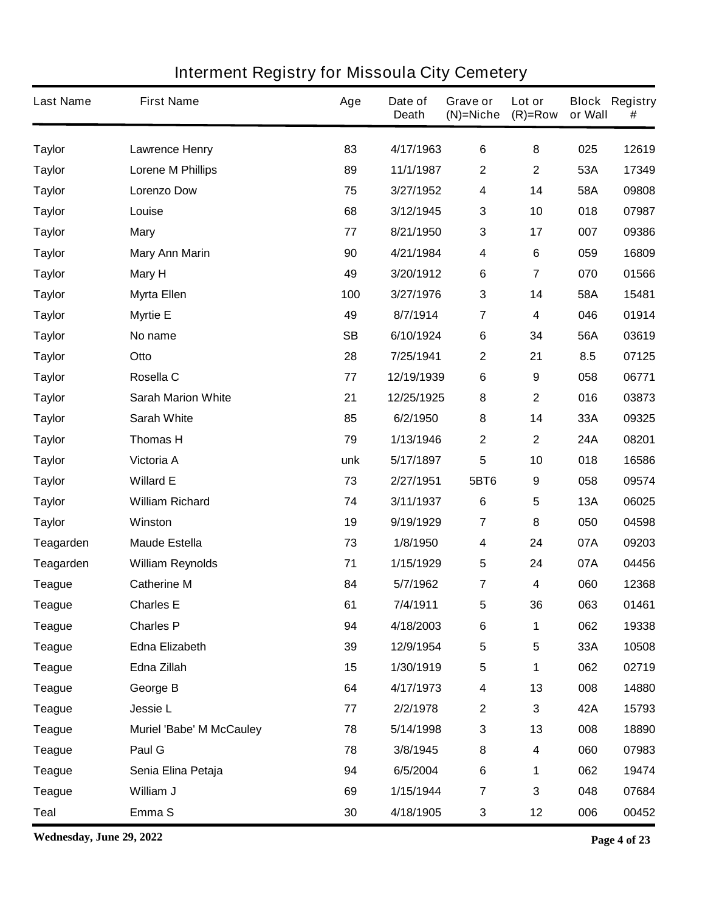| <b>Last Name</b> | <b>First Name</b>               | Age       | Date of<br><b>Death</b> | Grave or<br>$(N)$ =Niche | Lot or<br>$(R)=Row$     | or Wall    | <b>Block Registry</b><br># |
|------------------|---------------------------------|-----------|-------------------------|--------------------------|-------------------------|------------|----------------------------|
| <b>Taylor</b>    | <b>Lawrence Henry</b>           | 83        | 4/17/1963               | 6                        | 8                       | 025        | 12619                      |
| <b>Taylor</b>    | <b>Lorene M Phillips</b>        | 89        | 11/1/1987               | $\boldsymbol{2}$         | $\mathbf 2$             | 53A        | 17349                      |
| <b>Taylor</b>    | <b>Lorenzo Dow</b>              | 75        | 3/27/1952               | $\overline{\mathbf{4}}$  | 14                      | 58A        | 09808                      |
| <b>Taylor</b>    | Louise                          | 68        | 3/12/1945               | 3                        | 10                      | 018        | 07987                      |
| <b>Taylor</b>    | <b>Mary</b>                     | 77        | 8/21/1950               | $\mathbf{3}$             | 17                      | 007        | 09386                      |
| <b>Taylor</b>    | <b>Mary Ann Marin</b>           | 90        | 4/21/1984               | 4                        | 6                       | 059        | 16809                      |
| <b>Taylor</b>    | <b>Mary H</b>                   | 49        | 3/20/1912               | $\bf 6$                  | $\overline{\mathbf{7}}$ | 070        | 01566                      |
| <b>Taylor</b>    | <b>Myrta Ellen</b>              | 100       | 3/27/1976               | $\mathbf 3$              | 14                      | 58A        | 15481                      |
| <b>Taylor</b>    | <b>Myrtie E</b>                 | 49        | 8/7/1914                | $\overline{7}$           | 4                       | 046        | 01914                      |
| <b>Taylor</b>    | No name                         | <b>SB</b> | 6/10/1924               | $\bf 6$                  | 34                      | 56A        | 03619                      |
| <b>Taylor</b>    | Otto                            | 28        | 7/25/1941               | $\mathbf{2}$             | 21                      | 8.5        | 07125                      |
| <b>Taylor</b>    | Rosella C                       | 77        | 12/19/1939              | 6                        | 9                       | 058        | 06771                      |
| <b>Taylor</b>    | <b>Sarah Marion White</b>       | 21        | 12/25/1925              | 8                        | $\mathbf 2$             | 016        | 03873                      |
| <b>Taylor</b>    | <b>Sarah White</b>              | 85        | 6/2/1950                | 8                        | 14                      | 33A        | 09325                      |
| <b>Taylor</b>    | <b>Thomas H</b>                 | 79        | 1/13/1946               | $\mathbf{2}$             | $\mathbf 2$             | 24A        | 08201                      |
| <b>Taylor</b>    | Victoria A                      | unk       | 5/17/1897               | 5                        | 10                      | 018        | 16586                      |
| <b>Taylor</b>    | <b>Willard E</b>                | 73        | 2/27/1951               | 5BT6                     | $\boldsymbol{9}$        | 058        | 09574                      |
| <b>Taylor</b>    | <b>William Richard</b>          | 74        | 3/11/1937               | $6\phantom{1}6$          | 5                       | <b>13A</b> | 06025                      |
| <b>Taylor</b>    | <b>Winston</b>                  | 19        | 9/19/1929               | $\overline{7}$           | $\bf 8$                 | 050        | 04598                      |
| Teagarden        | <b>Maude Estella</b>            | 73        | 1/8/1950                | $\boldsymbol{4}$         | 24                      | 07A        | 09203                      |
| Teagarden        | <b>William Reynolds</b>         | 71        | 1/15/1929               | $\overline{\mathbf{5}}$  | 24                      | 07A        | 04456                      |
| <b>Teague</b>    | <b>Catherine M</b>              | 84        | 5/7/1962                | 7                        | 4                       | 060        | 12368                      |
| <b>Teague</b>    | <b>Charles E</b>                | 61        | 7/4/1911                | 5                        | 36                      | 063        | 01461                      |
| <b>Teague</b>    | <b>Charles P</b>                | 94        | 4/18/2003               | $\bf 6$                  | 1                       | 062        | 19338                      |
| <b>Teague</b>    | <b>Edna Elizabeth</b>           | 39        | 12/9/1954               | ${\bf 5}$                | 5                       | 33A        | 10508                      |
| <b>Teague</b>    | Edna Zillah                     | 15        | 1/30/1919               | $\sqrt{5}$               | 1                       | 062        | 02719                      |
| <b>Teague</b>    | George B                        | 64        | 4/17/1973               | 4                        | 13                      | 008        | 14880                      |
| <b>Teague</b>    | <b>Jessie L</b>                 | 77        | 2/2/1978                | $\boldsymbol{2}$         | 3                       | 42A        | 15793                      |
| <b>Teague</b>    | <b>Muriel 'Babe' M McCauley</b> | 78        | 5/14/1998               | $\mathbf{3}$             | 13                      | 008        | 18890                      |
| <b>Teague</b>    | Paul G                          | 78        | 3/8/1945                | $\bf 8$                  | 4                       | 060        | 07983                      |
| <b>Teague</b>    | Senia Elina Petaja              | 94        | 6/5/2004                | $\bf 6$                  | 1                       | 062        | 19474                      |
| <b>Teague</b>    | William J                       | 69        | 1/15/1944               | $\overline{7}$           | 3                       | 048        | 07684                      |
| <b>Teal</b>      | Emma <sub>S</sub>               | 30        | 4/18/1905               | $\mathbf{3}$             | 12                      | 006        | 00452                      |

**Wednesday, June 29, 2022 Page 4 of 23**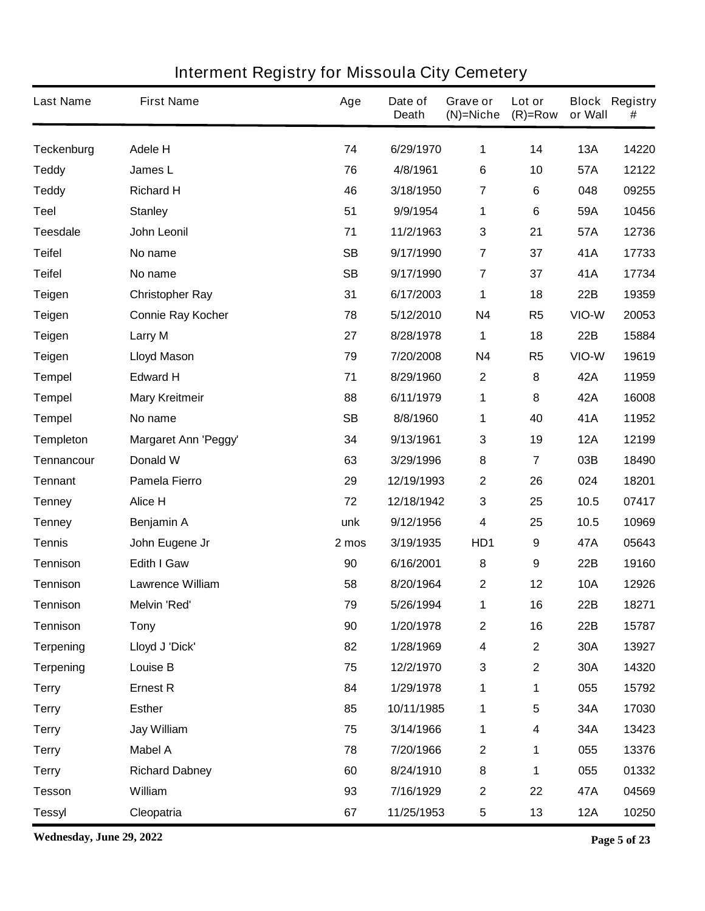| <b>Last Name</b>  | <b>First Name</b>           | Age       | Date of<br><b>Death</b> | Grave or<br>$(N)=Niche$ | Lot or<br>$(R)=Row$     | or Wall    | <b>Block Registry</b><br># |
|-------------------|-----------------------------|-----------|-------------------------|-------------------------|-------------------------|------------|----------------------------|
| <b>Teckenburg</b> | <b>Adele H</b>              | 74        | 6/29/1970               | 1                       | 14                      | 13A        | 14220                      |
| <b>Teddy</b>      | James L                     | 76        | 4/8/1961                | 6                       | 10                      | 57A        | 12122                      |
| <b>Teddy</b>      | <b>Richard H</b>            | 46        | 3/18/1950               | 7                       | 6                       | 048        | 09255                      |
| <b>Teel</b>       | <b>Stanley</b>              | 51        | 9/9/1954                | $\mathbf 1$             | 6                       | 59A        | 10456                      |
| <b>Teesdale</b>   | John Leonil                 | 71        | 11/2/1963               | $\mathbf{3}$            | 21                      | 57A        | 12736                      |
| <b>Teifel</b>     | No name                     | <b>SB</b> | 9/17/1990               | $\overline{7}$          | 37                      | 41A        | 17733                      |
| <b>Teifel</b>     | No name                     | <b>SB</b> | 9/17/1990               | 7                       | 37                      | 41A        | 17734                      |
| <b>Teigen</b>     | <b>Christopher Ray</b>      | 31        | 6/17/2003               | 1                       | 18                      | 22B        | 19359                      |
| <b>Teigen</b>     | <b>Connie Ray Kocher</b>    | 78        | 5/12/2010               | <b>N4</b>               | R <sub>5</sub>          | VIO-W      | 20053                      |
| <b>Teigen</b>     | <b>Larry M</b>              | 27        | 8/28/1978               | 1                       | 18                      | 22B        | 15884                      |
| <b>Teigen</b>     | <b>Lloyd Mason</b>          | 79        | 7/20/2008               | <b>N4</b>               | R <sub>5</sub>          | VIO-W      | 19619                      |
| <b>Tempel</b>     | <b>Edward H</b>             | 71        | 8/29/1960               | $\boldsymbol{2}$        | 8                       | <b>42A</b> | 11959                      |
| <b>Tempel</b>     | <b>Mary Kreitmeir</b>       | 88        | 6/11/1979               | 1                       | 8                       | 42A        | 16008                      |
| <b>Tempel</b>     | No name                     | <b>SB</b> | 8/8/1960                | 1                       | 40                      | 41A        | 11952                      |
| <b>Templeton</b>  | <b>Margaret Ann 'Peggy'</b> | 34        | 9/13/1961               | $\mathbf{3}$            | 19                      | <b>12A</b> | 12199                      |
| Tennancour        | Donald W                    | 63        | 3/29/1996               | 8                       | 7                       | 03B        | 18490                      |
| <b>Tennant</b>    | <b>Pamela Fierro</b>        | 29        | 12/19/1993              | $\boldsymbol{2}$        | 26                      | 024        | 18201                      |
| <b>Tenney</b>     | Alice H                     | 72        | 12/18/1942              | $\mathbf 3$             | 25                      | 10.5       | 07417                      |
| <b>Tenney</b>     | Benjamin A                  | unk       | 9/12/1956               | 4                       | 25                      | 10.5       | 10969                      |
| <b>Tennis</b>     | John Eugene Jr              | 2 mos     | 3/19/1935               | HD1                     | $\boldsymbol{9}$        | 47A        | 05643                      |
| <b>Tennison</b>   | <b>Edith I Gaw</b>          | 90        | 6/16/2001               | 8                       | 9                       | 22B        | 19160                      |
| <b>Tennison</b>   | <b>Lawrence William</b>     | 58        | 8/20/1964               | $\boldsymbol{2}$        | 12                      | <b>10A</b> | 12926                      |
| Tennison          | <b>Melvin 'Red'</b>         | 79        | 5/26/1994               | 1                       | 16                      | 22B        | 18271                      |
| <b>Tennison</b>   | <b>Tony</b>                 | 90        | 1/20/1978               | $\mathbf 2$             | 16                      | 22B        | 15787                      |
| <b>Terpening</b>  | Lloyd J 'Dick'              | 82        | 1/28/1969               | $\boldsymbol{4}$        | $\mathbf 2$             | 30A        | 13927                      |
| <b>Terpening</b>  | Louise B                    | 75        | 12/2/1970               | $\mathbf 3$             | $\mathbf 2$             | 30A        | 14320                      |
| <b>Terry</b>      | <b>Ernest R</b>             | 84        | 1/29/1978               | 1                       | 1                       | 055        | 15792                      |
| <b>Terry</b>      | <b>Esther</b>               | 85        | 10/11/1985              | 1                       | $\overline{\mathbf{5}}$ | 34A        | 17030                      |
| <b>Terry</b>      | Jay William                 | 75        | 3/14/1966               | 1                       | 4                       | 34A        | 13423                      |
| <b>Terry</b>      | <b>Mabel A</b>              | 78        | 7/20/1966               | $\mathbf{2}$            | 1                       | 055        | 13376                      |
| <b>Terry</b>      | <b>Richard Dabney</b>       | 60        | 8/24/1910               | $\bf8$                  | 1                       | 055        | 01332                      |
| <b>Tesson</b>     | William                     | 93        | 7/16/1929               | $\mathbf 2$             | 22                      | 47A        | 04569                      |
| <b>Tessyl</b>     | Cleopatria                  | 67        | 11/25/1953              | $\sqrt{5}$              | 13                      | <b>12A</b> | 10250                      |

**Wednesday, June 29, 2022 Page 5 of 23**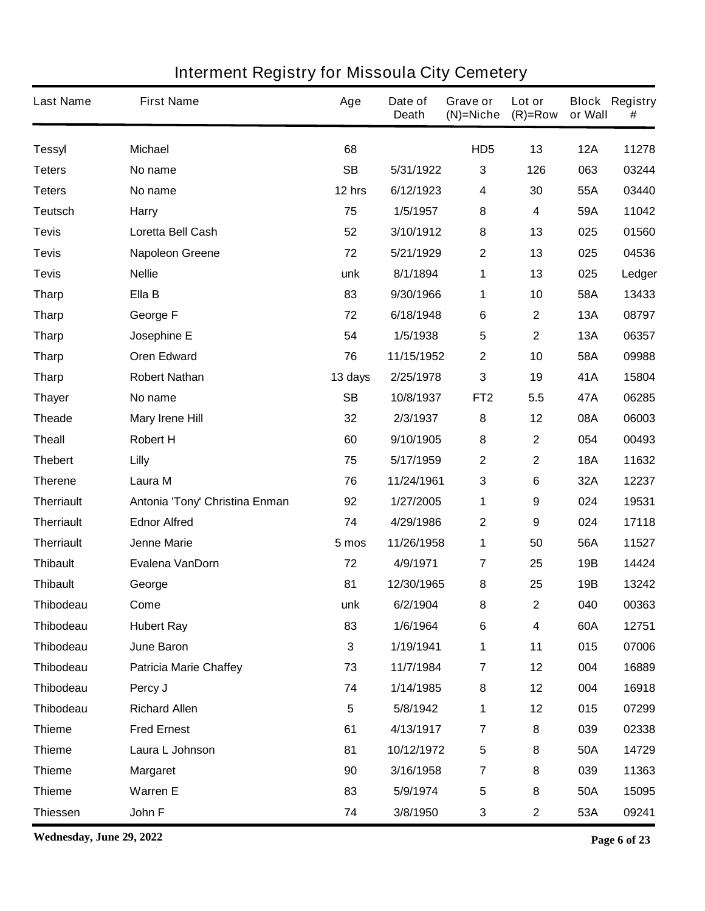| <b>Last Name</b>  | <b>First Name</b>              | Age       | Date of<br><b>Death</b> | Grave or<br>$(N)$ =Niche | Lot or<br>$(R)=Row$ | or Wall    | <b>Block Registry</b><br># |
|-------------------|--------------------------------|-----------|-------------------------|--------------------------|---------------------|------------|----------------------------|
| <b>Tessyl</b>     | <b>Michael</b>                 | 68        |                         | HD <sub>5</sub>          | 13                  | <b>12A</b> | 11278                      |
| <b>Teters</b>     | No name                        | <b>SB</b> | 5/31/1922               | 3                        | 126                 | 063        | 03244                      |
| <b>Teters</b>     | No name                        | 12 hrs    | 6/12/1923               | 4                        | 30                  | 55A        | 03440                      |
| <b>Teutsch</b>    | <b>Harry</b>                   | 75        | 1/5/1957                | 8                        | 4                   | 59A        | 11042                      |
| <b>Tevis</b>      | Loretta Bell Cash              | 52        | 3/10/1912               | 8                        | 13                  | 025        | 01560                      |
| <b>Tevis</b>      | <b>Napoleon Greene</b>         | 72        | 5/21/1929               | $\boldsymbol{2}$         | 13                  | 025        | 04536                      |
| <b>Tevis</b>      | <b>Nellie</b>                  | unk       | 8/1/1894                | 1                        | 13                  | 025        | Ledger                     |
| <b>Tharp</b>      | Ella B                         | 83        | 9/30/1966               | 1                        | 10                  | 58A        | 13433                      |
| <b>Tharp</b>      | George F                       | 72        | 6/18/1948               | 6                        | $\mathbf 2$         | 13A        | 08797                      |
| <b>Tharp</b>      | Josephine E                    | 54        | 1/5/1938                | 5                        | $\mathbf 2$         | <b>13A</b> | 06357                      |
| <b>Tharp</b>      | <b>Oren Edward</b>             | 76        | 11/15/1952              | $\boldsymbol{2}$         | 10                  | 58A        | 09988                      |
| <b>Tharp</b>      | <b>Robert Nathan</b>           | 13 days   | 2/25/1978               | $\mathbf{3}$             | 19                  | 41A        | 15804                      |
| <b>Thayer</b>     | No name                        | <b>SB</b> | 10/8/1937               | FT <sub>2</sub>          | 5.5                 | 47A        | 06285                      |
| <b>Theade</b>     | <b>Mary Irene Hill</b>         | 32        | 2/3/1937                | 8                        | 12                  | 08A        | 06003                      |
| <b>Theall</b>     | <b>Robert H</b>                | 60        | 9/10/1905               | 8                        | $\mathbf 2$         | 054        | 00493                      |
| <b>Thebert</b>    | <b>Lilly</b>                   | 75        | 5/17/1959               | $\mathbf 2$              | $\mathbf 2$         | <b>18A</b> | 11632                      |
| <b>Therene</b>    | Laura M                        | 76        | 11/24/1961              | 3                        | 6                   | 32A        | 12237                      |
| <b>Therriault</b> | Antonia 'Tony' Christina Enman | 92        | 1/27/2005               | 1                        | 9                   | 024        | 19531                      |
| <b>Therriault</b> | <b>Ednor Alfred</b>            | 74        | 4/29/1986               | $\boldsymbol{2}$         | 9                   | 024        | 17118                      |
| <b>Therriault</b> | <b>Jenne Marie</b>             | 5 mos     | 11/26/1958              | 1                        | 50                  | 56A        | 11527                      |
| <b>Thibault</b>   | Evalena VanDorn                | 72        | 4/9/1971                | $\overline{7}$           | 25                  | 19B        | 14424                      |
| <b>Thibault</b>   | George                         | 81        | 12/30/1965              | 8                        | 25                  | 19B        | 13242                      |
| <b>Thibodeau</b>  | Come                           | unk       | 6/2/1904                | 8                        | $\mathbf 2$         | 040        | 00363                      |
| <b>Thibodeau</b>  | <b>Hubert Ray</b>              | 83        | 1/6/1964                | $\bf 6$                  | 4                   | 60A        | 12751                      |
| <b>Thibodeau</b>  | June Baron                     | 3         | 1/19/1941               | 1                        | 11                  | 015        | 07006                      |
| <b>Thibodeau</b>  | <b>Patricia Marie Chaffey</b>  | 73        | 11/7/1984               | $\overline{7}$           | 12                  | 004        | 16889                      |
| <b>Thibodeau</b>  | Percy J                        | 74        | 1/14/1985               | 8                        | 12                  | 004        | 16918                      |
| <b>Thibodeau</b>  | <b>Richard Allen</b>           | 5         | 5/8/1942                | 1                        | 12                  | 015        | 07299                      |
| <b>Thieme</b>     | <b>Fred Ernest</b>             | 61        | 4/13/1917               | $\overline{7}$           | 8                   | 039        | 02338                      |
| <b>Thieme</b>     | Laura L Johnson                | 81        | 10/12/1972              | 5                        | 8                   | 50A        | 14729                      |
| <b>Thieme</b>     | <b>Margaret</b>                | 90        | 3/16/1958               | $\overline{7}$           | 8                   | 039        | 11363                      |
| <b>Thieme</b>     | <b>Warren E</b>                | 83        | 5/9/1974                | 5                        | 8                   | 50A        | 15095                      |
| <b>Thiessen</b>   | John F                         | 74        | 3/8/1950                | $\mathbf{3}$             | $\mathbf 2$         | 53A        | 09241                      |

**Wednesday, June 29, 2022 Page 6 of 23**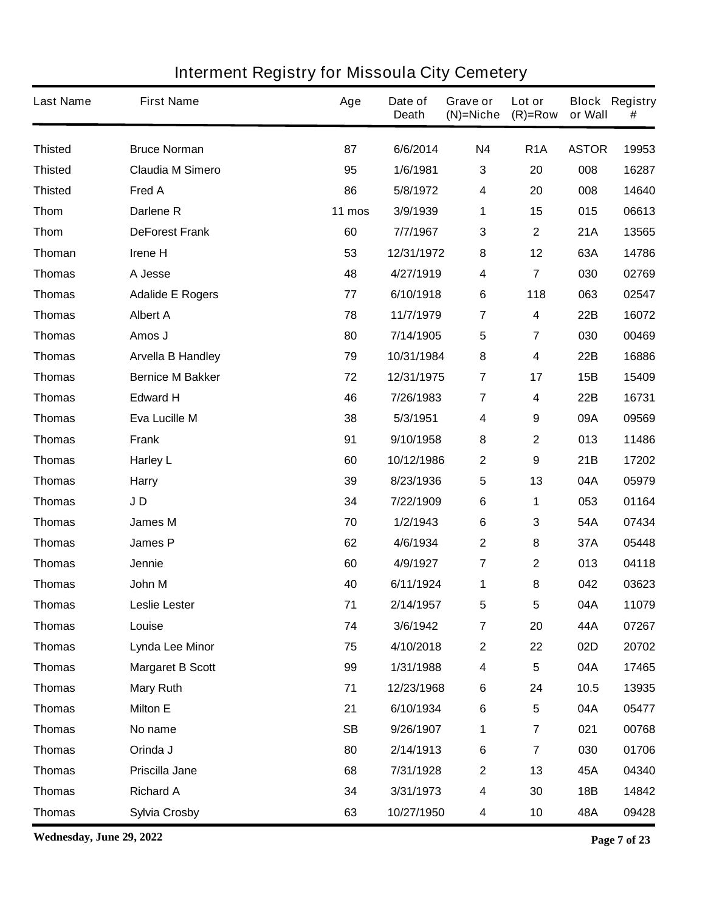| <b>Last Name</b> | <b>First Name</b>        | Age       | Date of<br><b>Death</b> | Grave or<br>$(N)$ =Niche | Lot or<br>$(R)=Row$     | or Wall      | <b>Block Registry</b><br># |
|------------------|--------------------------|-----------|-------------------------|--------------------------|-------------------------|--------------|----------------------------|
| <b>Thisted</b>   | <b>Bruce Norman</b>      | 87        | 6/6/2014                | <b>N4</b>                | R <sub>1</sub> A        | <b>ASTOR</b> | 19953                      |
| <b>Thisted</b>   | <b>Claudia M Simero</b>  | 95        | 1/6/1981                | $\mathbf{3}$             | 20                      | 008          | 16287                      |
| <b>Thisted</b>   | Fred A                   | 86        | 5/8/1972                | $\boldsymbol{4}$         | 20                      | 008          | 14640                      |
| <b>Thom</b>      | Darlene R                | 11 mos    | 3/9/1939                | 1                        | 15                      | 015          | 06613                      |
| <b>Thom</b>      | <b>DeForest Frank</b>    | 60        | 7/7/1967                | $\mathbf{3}$             | $\mathbf 2$             | 21A          | 13565                      |
| Thoman           | Irene H                  | 53        | 12/31/1972              | 8                        | 12                      | 63A          | 14786                      |
| <b>Thomas</b>    | A Jesse                  | 48        | 4/27/1919               | $\boldsymbol{4}$         | 7                       | 030          | 02769                      |
| <b>Thomas</b>    | <b>Adalide E Rogers</b>  | 77        | 6/10/1918               | 6                        | 118                     | 063          | 02547                      |
| <b>Thomas</b>    | <b>Albert A</b>          | 78        | 11/7/1979               | $\overline{7}$           | 4                       | 22B          | 16072                      |
| <b>Thomas</b>    | Amos J                   | 80        | 7/14/1905               | 5                        | 7                       | 030          | 00469                      |
| <b>Thomas</b>    | <b>Arvella B Handley</b> | 79        | 10/31/1984              | 8                        | 4                       | 22B          | 16886                      |
| <b>Thomas</b>    | <b>Bernice M Bakker</b>  | 72        | 12/31/1975              | 7                        | 17                      | 15B          | 15409                      |
| <b>Thomas</b>    | <b>Edward H</b>          | 46        | 7/26/1983               | 7                        | 4                       | 22B          | 16731                      |
| <b>Thomas</b>    | Eva Lucille M            | 38        | 5/3/1951                | 4                        | 9                       | 09A          | 09569                      |
| <b>Thomas</b>    | <b>Frank</b>             | 91        | 9/10/1958               | 8                        | $\mathbf 2$             | 013          | 11486                      |
| <b>Thomas</b>    | <b>Harley L</b>          | 60        | 10/12/1986              | $\mathbf 2$              | 9                       | 21B          | 17202                      |
| <b>Thomas</b>    | <b>Harry</b>             | 39        | 8/23/1936               | 5                        | 13                      | 04A          | 05979                      |
| <b>Thomas</b>    | JD                       | 34        | 7/22/1909               | $\bf 6$                  | 1                       | 053          | 01164                      |
| <b>Thomas</b>    | <b>James M</b>           | 70        | 1/2/1943                | $\bf 6$                  | 3                       | 54A          | 07434                      |
| <b>Thomas</b>    | <b>James P</b>           | 62        | 4/6/1934                | $\mathbf 2$              | 8                       | 37A          | 05448                      |
| <b>Thomas</b>    | Jennie                   | 60        | 4/9/1927                | $\overline{7}$           | $\mathbf 2$             | 013          | 04118                      |
| <b>Thomas</b>    | John M                   | 40        | 6/11/1924               | 1                        | 8                       | 042          | 03623                      |
| Thomas           | Leslie Lester            | 71        | 2/14/1957               | 5                        | 5                       | 04A          | 11079                      |
| <b>Thomas</b>    | Louise                   | 74        | 3/6/1942                | $\overline{7}$           | 20                      | 44A          | 07267                      |
| <b>Thomas</b>    | Lynda Lee Minor          | 75        | 4/10/2018               | $\mathbf 2$              | 22                      | 02D          | 20702                      |
| <b>Thomas</b>    | <b>Margaret B Scott</b>  | 99        | 1/31/1988               | $\boldsymbol{4}$         | 5                       | 04A          | 17465                      |
| <b>Thomas</b>    | <b>Mary Ruth</b>         | 71        | 12/23/1968              | $\bf 6$                  | 24                      | 10.5         | 13935                      |
| <b>Thomas</b>    | <b>Milton E</b>          | 21        | 6/10/1934               | $\bf 6$                  | 5                       | 04A          | 05477                      |
| <b>Thomas</b>    | No name                  | <b>SB</b> | 9/26/1907               | 1                        | $\overline{\mathbf{7}}$ | 021          | 00768                      |
| <b>Thomas</b>    | Orinda J                 | 80        | 2/14/1913               | $\bf 6$                  | $\overline{\mathbf{7}}$ | 030          | 01706                      |
| <b>Thomas</b>    | Priscilla Jane           | 68        | 7/31/1928               | $\mathbf 2$              | 13                      | 45A          | 04340                      |
| <b>Thomas</b>    | <b>Richard A</b>         | 34        | 3/31/1973               | $\boldsymbol{4}$         | 30                      | <b>18B</b>   | 14842                      |
| <b>Thomas</b>    | <b>Sylvia Crosby</b>     | 63        | 10/27/1950              | $\overline{\mathbf{4}}$  | 10                      | 48A          | 09428                      |

**Wednesday, June 29, 2022 Page 7 of 23**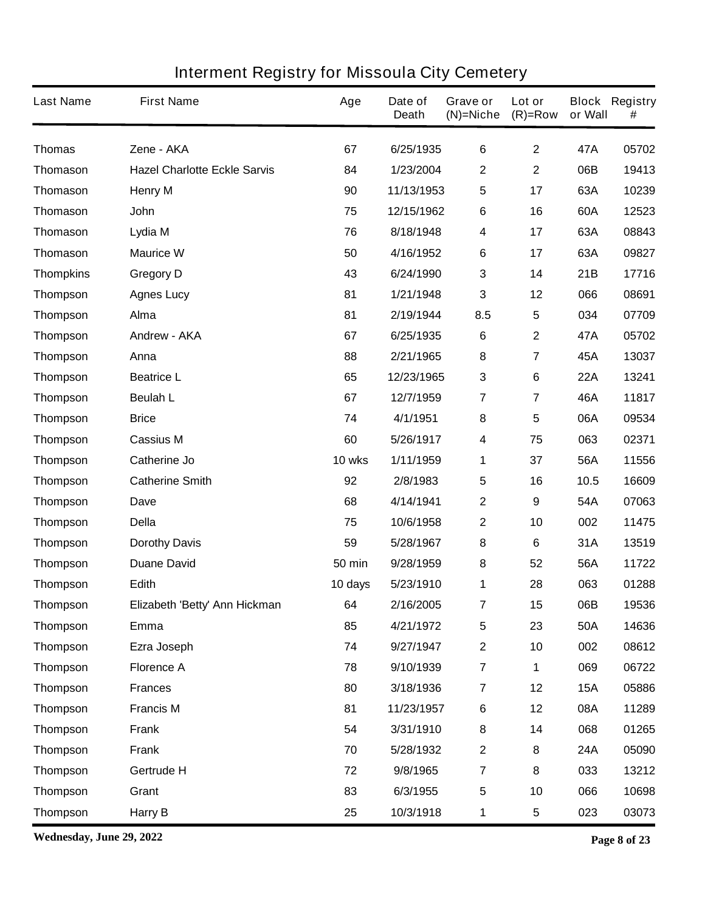| <b>Last Name</b> | <b>First Name</b>                   | Age           | Date of<br><b>Death</b> | Grave or<br>$(N)$ =Niche | Lot or<br>$(R)=Row$     | or Wall    | <b>Block Registry</b><br># |
|------------------|-------------------------------------|---------------|-------------------------|--------------------------|-------------------------|------------|----------------------------|
| <b>Thomas</b>    | Zene - AKA                          | 67            | 6/25/1935               | $6\phantom{1}$           | $\mathbf{2}$            | 47A        | 05702                      |
| <b>Thomason</b>  | <b>Hazel Charlotte Eckle Sarvis</b> | 84            | 1/23/2004               | 2                        | $\overline{2}$          | 06B        | 19413                      |
| <b>Thomason</b>  | <b>Henry M</b>                      | 90            | 11/13/1953              | 5                        | 17                      | 63A        | 10239                      |
| <b>Thomason</b>  | <b>John</b>                         | 75            | 12/15/1962              | $\bf 6$                  | 16                      | 60A        | 12523                      |
| <b>Thomason</b>  | Lydia M                             | 76            | 8/18/1948               | $\overline{\mathbf{4}}$  | 17                      | 63A        | 08843                      |
| <b>Thomason</b>  | <b>Maurice W</b>                    | 50            | 4/16/1952               | $\bf 6$                  | 17                      | 63A        | 09827                      |
| <b>Thompkins</b> | <b>Gregory D</b>                    | 43            | 6/24/1990               | $\mathbf{3}$             | 14                      | 21B        | 17716                      |
| <b>Thompson</b>  | <b>Agnes Lucy</b>                   | 81            | 1/21/1948               | 3                        | 12                      | 066        | 08691                      |
| <b>Thompson</b>  | Alma                                | 81            | 2/19/1944               | 8.5                      | 5                       | 034        | 07709                      |
| <b>Thompson</b>  | <b>Andrew - AKA</b>                 | 67            | 6/25/1935               | $\bf 6$                  | $\mathbf{2}$            | 47A        | 05702                      |
| <b>Thompson</b>  | Anna                                | 88            | 2/21/1965               | 8                        | $\overline{7}$          | 45A        | 13037                      |
| <b>Thompson</b>  | <b>Beatrice L</b>                   | 65            | 12/23/1965              | $\mathbf{3}$             | 6                       | <b>22A</b> | 13241                      |
| <b>Thompson</b>  | <b>Beulah L</b>                     | 67            | 12/7/1959               | $\overline{7}$           | $\overline{7}$          | 46A        | 11817                      |
| <b>Thompson</b>  | <b>Brice</b>                        | 74            | 4/1/1951                | 8                        | 5                       | 06A        | 09534                      |
| <b>Thompson</b>  | <b>Cassius M</b>                    | 60            | 5/26/1917               | 4                        | 75                      | 063        | 02371                      |
| <b>Thompson</b>  | <b>Catherine Jo</b>                 | 10 wks        | 1/11/1959               | 1                        | 37                      | 56A        | 11556                      |
| <b>Thompson</b>  | <b>Catherine Smith</b>              | 92            | 2/8/1983                | 5                        | 16                      | 10.5       | 16609                      |
| <b>Thompson</b>  | Dave                                | 68            | 4/14/1941               | $\mathbf{2}$             | 9                       | 54A        | 07063                      |
| <b>Thompson</b>  | <b>Della</b>                        | 75            | 10/6/1958               | $\mathbf{2}$             | 10                      | 002        | 11475                      |
| <b>Thompson</b>  | <b>Dorothy Davis</b>                | 59            | 5/28/1967               | 8                        | 6                       | 31A        | 13519                      |
| <b>Thompson</b>  | <b>Duane David</b>                  | <b>50 min</b> | 9/28/1959               | 8                        | 52                      | 56A        | 11722                      |
| <b>Thompson</b>  | Edith                               | 10 days       | 5/23/1910               | 1                        | 28                      | 063        | 01288                      |
| Thompson         | Elizabeth 'Betty' Ann Hickman       | 64            | 2/16/2005               | 7                        | 15                      | 06B        | 19536                      |
| <b>Thompson</b>  | Emma                                | 85            | 4/21/1972               | 5                        | 23                      | <b>50A</b> | 14636                      |
| <b>Thompson</b>  | Ezra Joseph                         | 74            | 9/27/1947               | $\mathbf{2}$             | 10                      | 002        | 08612                      |
| <b>Thompson</b>  | <b>Florence A</b>                   | 78            | 9/10/1939               | $\overline{7}$           | 1                       | 069        | 06722                      |
| <b>Thompson</b>  | <b>Frances</b>                      | 80            | 3/18/1936               | $\overline{\mathbf{r}}$  | 12                      | <b>15A</b> | 05886                      |
| <b>Thompson</b>  | <b>Francis M</b>                    | 81            | 11/23/1957              | 6                        | 12                      | 08A        | 11289                      |
| <b>Thompson</b>  | <b>Frank</b>                        | 54            | 3/31/1910               | 8                        | 14                      | 068        | 01265                      |
| <b>Thompson</b>  | <b>Frank</b>                        | 70            | 5/28/1932               | $\mathbf{2}$             | 8                       | <b>24A</b> | 05090                      |
| <b>Thompson</b>  | Gertrude H                          | 72            | 9/8/1965                | $\overline{\mathbf{r}}$  | 8                       | 033        | 13212                      |
| <b>Thompson</b>  | Grant                               | 83            | 6/3/1955                | $5\phantom{.0}$          | 10                      | 066        | 10698                      |
| <b>Thompson</b>  | <b>Harry B</b>                      | 25            | 10/3/1918               | 1                        | $\overline{\mathbf{5}}$ | 023        | 03073                      |

**Wednesday, June 29, 2022 Page 8 of 23**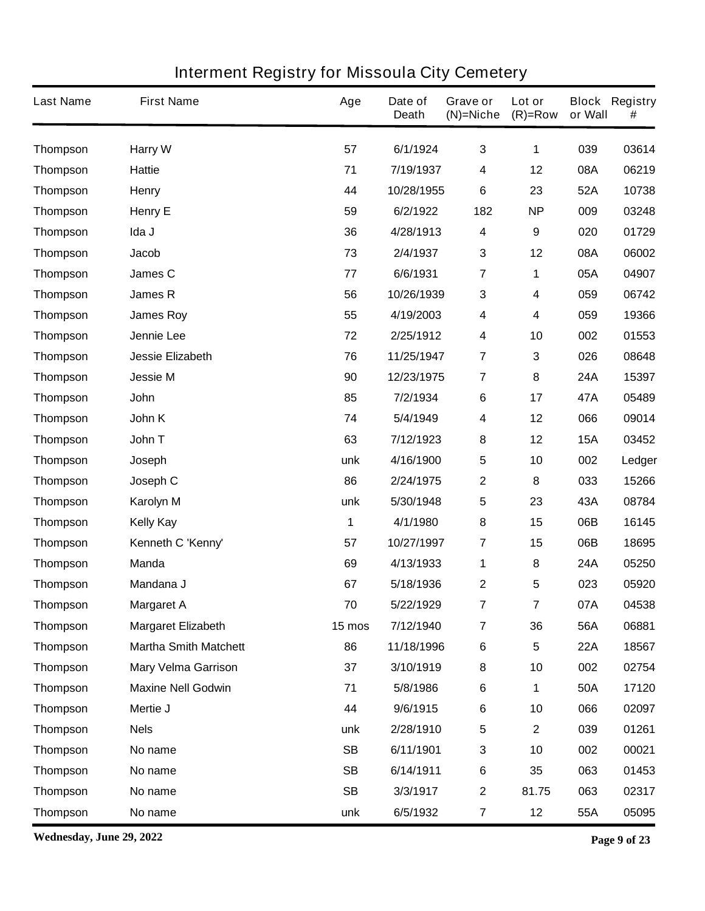| <b>Last Name</b> | <b>First Name</b>            | Age       | Date of<br><b>Death</b> | Grave or<br>$(N)$ =Niche | Lot or<br>$(R)=Row$ | or Wall    | <b>Block Registry</b><br># |
|------------------|------------------------------|-----------|-------------------------|--------------------------|---------------------|------------|----------------------------|
| <b>Thompson</b>  | <b>Harry W</b>               | 57        | 6/1/1924                | $\mathbf{3}$             | 1                   | 039        | 03614                      |
| <b>Thompson</b>  | <b>Hattie</b>                | 71        | 7/19/1937               | 4                        | 12                  | 08A        | 06219                      |
| <b>Thompson</b>  | Henry                        | 44        | 10/28/1955              | $6\phantom{1}$           | 23                  | 52A        | 10738                      |
| <b>Thompson</b>  | <b>Henry E</b>               | 59        | 6/2/1922                | 182                      | <b>NP</b>           | 009        | 03248                      |
| <b>Thompson</b>  | Ida J                        | 36        | 4/28/1913               | 4                        | $\boldsymbol{9}$    | 020        | 01729                      |
| <b>Thompson</b>  | Jacob                        | 73        | 2/4/1937                | 3                        | 12                  | 08A        | 06002                      |
| <b>Thompson</b>  | James C                      | 77        | 6/6/1931                | $\overline{7}$           | 1                   | 05A        | 04907                      |
| <b>Thompson</b>  | <b>James R</b>               | 56        | 10/26/1939              | 3                        | 4                   | 059        | 06742                      |
| <b>Thompson</b>  | <b>James Roy</b>             | 55        | 4/19/2003               | 4                        | 4                   | 059        | 19366                      |
| <b>Thompson</b>  | Jennie Lee                   | 72        | 2/25/1912               | 4                        | 10                  | 002        | 01553                      |
| <b>Thompson</b>  | <b>Jessie Elizabeth</b>      | 76        | 11/25/1947              | $\overline{7}$           | 3                   | 026        | 08648                      |
| <b>Thompson</b>  | <b>Jessie M</b>              | 90        | 12/23/1975              | $\overline{7}$           | 8                   | 24A        | 15397                      |
| <b>Thompson</b>  | John                         | 85        | 7/2/1934                | $\bf 6$                  | 17                  | 47A        | 05489                      |
| <b>Thompson</b>  | John K                       | 74        | 5/4/1949                | 4                        | 12                  | 066        | 09014                      |
| <b>Thompson</b>  | John T                       | 63        | 7/12/1923               | 8                        | 12                  | <b>15A</b> | 03452                      |
| <b>Thompson</b>  | Joseph                       | unk       | 4/16/1900               | 5                        | 10                  | 002        | Ledger                     |
| <b>Thompson</b>  | Joseph C                     | 86        | 2/24/1975               | $\mathbf{2}$             | 8                   | 033        | 15266                      |
| <b>Thompson</b>  | Karolyn M                    | unk       | 5/30/1948               | 5                        | 23                  | 43A        | 08784                      |
| <b>Thompson</b>  | <b>Kelly Kay</b>             | 1         | 4/1/1980                | 8                        | 15                  | 06B        | 16145                      |
| <b>Thompson</b>  | Kenneth C 'Kenny'            | 57        | 10/27/1997              | $\overline{7}$           | 15                  | 06B        | 18695                      |
| <b>Thompson</b>  | <b>Manda</b>                 | 69        | 4/13/1933               | 1                        | 8                   | 24A        | 05250                      |
| <b>Thompson</b>  | Mandana J                    | 67        | 5/18/1936               | 2                        | 5                   | 023        | 05920                      |
| <b>Thompson</b>  | <b>Margaret A</b>            | 70        | 5/22/1929               | 7                        | $\overline{7}$      | 07A        | 04538                      |
| <b>Thompson</b>  | <b>Margaret Elizabeth</b>    | 15 mos    | 7/12/1940               | $\overline{7}$           | 36                  | 56A        | 06881                      |
| <b>Thompson</b>  | <b>Martha Smith Matchett</b> | 86        | 11/18/1996              | $\bf 6$                  | $5\phantom{.0}$     | <b>22A</b> | 18567                      |
| <b>Thompson</b>  | <b>Mary Velma Garrison</b>   | 37        | 3/10/1919               | 8                        | 10                  | 002        | 02754                      |
| Thompson         | <b>Maxine Nell Godwin</b>    | 71        | 5/8/1986                | $\bf 6$                  | 1                   | 50A        | 17120                      |
| <b>Thompson</b>  | Mertie J                     | 44        | 9/6/1915                | $\bf 6$                  | 10                  | 066        | 02097                      |
| <b>Thompson</b>  | <b>Nels</b>                  | unk       | 2/28/1910               | 5                        | $\mathbf{2}$        | 039        | 01261                      |
| <b>Thompson</b>  | No name                      | <b>SB</b> | 6/11/1901               | 3                        | 10                  | 002        | 00021                      |
| <b>Thompson</b>  | No name                      | <b>SB</b> | 6/14/1911               | $\bf 6$                  | 35                  | 063        | 01453                      |
| <b>Thompson</b>  | No name                      | <b>SB</b> | 3/3/1917                | $\mathbf{2}$             | 81.75               | 063        | 02317                      |
| <b>Thompson</b>  | No name                      | unk       | 6/5/1932                | $\overline{\mathbf{7}}$  | 12                  | 55A        | 05095                      |

**Wednesday, June 29, 2022 Page 9 of 23**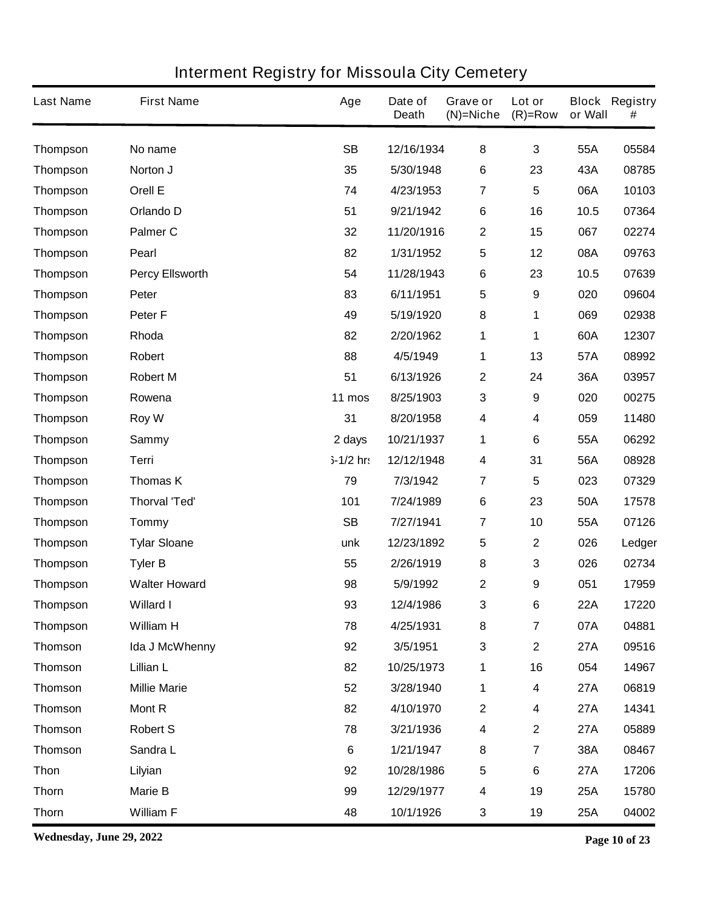| <b>Last Name</b> | <b>First Name</b>      | Age         | Date of<br><b>Death</b> | Grave or<br>$(N)$ =Niche | Lot or<br>$(R)=Row$ | or Wall    | <b>Block Registry</b><br># |
|------------------|------------------------|-------------|-------------------------|--------------------------|---------------------|------------|----------------------------|
| <b>Thompson</b>  | No name                | <b>SB</b>   | 12/16/1934              | 8                        | $\mathbf{3}$        | 55A        | 05584                      |
| <b>Thompson</b>  | Norton J               | 35          | 5/30/1948               | $\bf 6$                  | 23                  | 43A        | 08785                      |
| <b>Thompson</b>  | Orell E                | 74          | 4/23/1953               | $\overline{7}$           | 5                   | 06A        | 10103                      |
| <b>Thompson</b>  | Orlando D              | 51          | 9/21/1942               | $\bf 6$                  | 16                  | 10.5       | 07364                      |
| <b>Thompson</b>  | <b>Palmer C</b>        | 32          | 11/20/1916              | $\boldsymbol{2}$         | 15                  | 067        | 02274                      |
| <b>Thompson</b>  | Pearl                  | 82          | 1/31/1952               | 5                        | 12                  | 08A        | 09763                      |
| <b>Thompson</b>  | <b>Percy Ellsworth</b> | 54          | 11/28/1943              | $\bf 6$                  | 23                  | 10.5       | 07639                      |
| <b>Thompson</b>  | Peter                  | 83          | 6/11/1951               | 5                        | 9                   | 020        | 09604                      |
| <b>Thompson</b>  | Peter <sub>F</sub>     | 49          | 5/19/1920               | 8                        | 1                   | 069        | 02938                      |
| <b>Thompson</b>  | Rhoda                  | 82          | 2/20/1962               | 1                        | 1                   | 60A        | 12307                      |
| <b>Thompson</b>  | Robert                 | 88          | 4/5/1949                | 1                        | 13                  | 57A        | 08992                      |
| <b>Thompson</b>  | <b>Robert M</b>        | 51          | 6/13/1926               | $\boldsymbol{2}$         | 24                  | 36A        | 03957                      |
| <b>Thompson</b>  | Rowena                 | 11 mos      | 8/25/1903               | 3                        | 9                   | 020        | 00275                      |
| <b>Thompson</b>  | Roy W                  | 31          | 8/20/1958               | 4                        | 4                   | 059        | 11480                      |
| <b>Thompson</b>  | <b>Sammy</b>           | 2 days      | 10/21/1937              | 1                        | 6                   | 55A        | 06292                      |
| <b>Thompson</b>  | Terri                  | $5-1/2$ hr: | 12/12/1948              | 4                        | 31                  | 56A        | 08928                      |
| <b>Thompson</b>  | <b>Thomas K</b>        | 79          | 7/3/1942                | $\overline{7}$           | 5                   | 023        | 07329                      |
| <b>Thompson</b>  | <b>Thorval 'Ted'</b>   | 101         | 7/24/1989               | $\bf 6$                  | 23                  | 50A        | 17578                      |
| <b>Thompson</b>  | <b>Tommy</b>           | <b>SB</b>   | 7/27/1941               | $\overline{7}$           | 10                  | 55A        | 07126                      |
| <b>Thompson</b>  | <b>Tylar Sloane</b>    | unk         | 12/23/1892              | 5                        | $\mathbf{2}$        | 026        | Ledger                     |
| <b>Thompson</b>  | <b>Tyler B</b>         | 55          | 2/26/1919               | 8                        | 3                   | 026        | 02734                      |
| <b>Thompson</b>  | <b>Walter Howard</b>   | 98          | 5/9/1992                | $\mathbf 2$              | 9                   | 051        | 17959                      |
| Thompson         | <b>Willard I</b>       | 93          | 12/4/1986               | 3                        | 6                   | 22A        | 17220                      |
| <b>Thompson</b>  | <b>William H</b>       | 78          | 4/25/1931               | 8                        | $\overline{7}$      | 07A        | 04881                      |
| <b>Thomson</b>   | Ida J McWhenny         | 92          | 3/5/1951                | $\mathbf{3}$             | $\mathbf{2}$        | <b>27A</b> | 09516                      |
| <b>Thomson</b>   | Lillian L              | 82          | 10/25/1973              | 1                        | 16                  | 054        | 14967                      |
| <b>Thomson</b>   | <b>Millie Marie</b>    | 52          | 3/28/1940               | 1                        | $\boldsymbol{4}$    | <b>27A</b> | 06819                      |
| <b>Thomson</b>   | <b>Mont R</b>          | 82          | 4/10/1970               | $\boldsymbol{2}$         | 4                   | <b>27A</b> | 14341                      |
| <b>Thomson</b>   | <b>Robert S</b>        | 78          | 3/21/1936               | $\overline{\mathbf{4}}$  | $\mathbf 2$         | <b>27A</b> | 05889                      |
| <b>Thomson</b>   | Sandra L               | $\bf 6$     | 1/21/1947               | 8                        | $\overline{7}$      | 38A        | 08467                      |
| <b>Thon</b>      | Lilyian                | 92          | 10/28/1986              | $\sqrt{5}$               | 6                   | <b>27A</b> | 17206                      |
| <b>Thorn</b>     | <b>Marie B</b>         | 99          | 12/29/1977              | 4                        | 19                  | <b>25A</b> | 15780                      |
| <b>Thorn</b>     | <b>William F</b>       | 48          | 10/1/1926               | $\mathbf{3}$             | 19                  | 25A        | 04002                      |

**Wednesday, June 29, 2022 Page 10 of 23**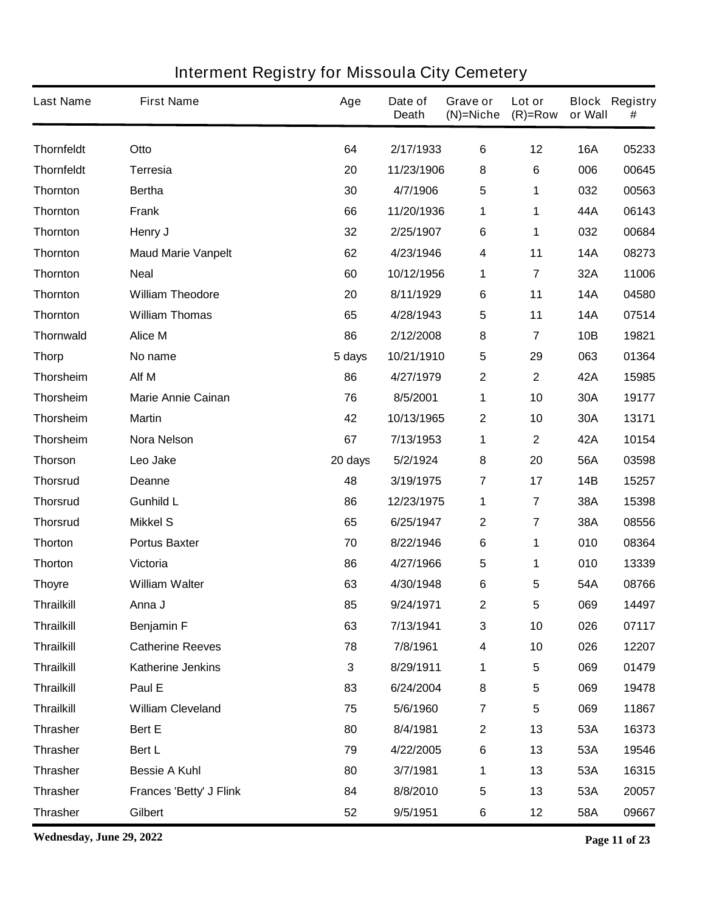| <b>Last Name</b>  | <b>First Name</b>              | Age         | Date of<br><b>Death</b> | Grave or<br>$(N)$ =Niche | Lot or<br>$(R)=Row$     | or Wall    | <b>Block Registry</b><br># |
|-------------------|--------------------------------|-------------|-------------------------|--------------------------|-------------------------|------------|----------------------------|
| <b>Thornfeldt</b> | Otto                           | 64          | 2/17/1933               | $\bf 6$                  | 12                      | <b>16A</b> | 05233                      |
| <b>Thornfeldt</b> | <b>Terresia</b>                | 20          | 11/23/1906              | 8                        | 6                       | 006        | 00645                      |
| <b>Thornton</b>   | <b>Bertha</b>                  | 30          | 4/7/1906                | 5                        | 1                       | 032        | 00563                      |
| <b>Thornton</b>   | <b>Frank</b>                   | 66          | 11/20/1936              | 1                        | 1                       | 44A        | 06143                      |
| <b>Thornton</b>   | Henry J                        | 32          | 2/25/1907               | $\bf 6$                  | 1                       | 032        | 00684                      |
| <b>Thornton</b>   | <b>Maud Marie Vanpelt</b>      | 62          | 4/23/1946               | 4                        | 11                      | <b>14A</b> | 08273                      |
| <b>Thornton</b>   | <b>Neal</b>                    | 60          | 10/12/1956              | 1                        | 7                       | 32A        | 11006                      |
| <b>Thornton</b>   | <b>William Theodore</b>        | 20          | 8/11/1929               | $\bf 6$                  | 11                      | <b>14A</b> | 04580                      |
| <b>Thornton</b>   | <b>William Thomas</b>          | 65          | 4/28/1943               | 5                        | 11                      | <b>14A</b> | 07514                      |
| <b>Thornwald</b>  | <b>Alice M</b>                 | 86          | 2/12/2008               | 8                        | 7                       | 10B        | 19821                      |
| <b>Thorp</b>      | No name                        | 5 days      | 10/21/1910              | 5                        | 29                      | 063        | 01364                      |
| <b>Thorsheim</b>  | Alf M                          | 86          | 4/27/1979               | $\mathbf 2$              | $\mathbf 2$             | 42A        | 15985                      |
| <b>Thorsheim</b>  | <b>Marie Annie Cainan</b>      | 76          | 8/5/2001                | 1                        | 10                      | 30A        | 19177                      |
| <b>Thorsheim</b>  | <b>Martin</b>                  | 42          | 10/13/1965              | $\mathbf{2}$             | 10                      | 30A        | 13171                      |
| <b>Thorsheim</b>  | <b>Nora Nelson</b>             | 67          | 7/13/1953               | 1                        | $\mathbf 2$             | 42A        | 10154                      |
| <b>Thorson</b>    | Leo Jake                       | 20 days     | 5/2/1924                | 8                        | 20                      | 56A        | 03598                      |
| <b>Thorsrud</b>   | <b>Deanne</b>                  | 48          | 3/19/1975               | $\overline{7}$           | 17                      | 14B        | 15257                      |
| <b>Thorsrud</b>   | <b>Gunhild L</b>               | 86          | 12/23/1975              | 1                        | $\overline{7}$          | 38A        | 15398                      |
| <b>Thorsrud</b>   | <b>Mikkel S</b>                | 65          | 6/25/1947               | $\mathbf 2$              | $\overline{7}$          | 38A        | 08556                      |
| <b>Thorton</b>    | <b>Portus Baxter</b>           | 70          | 8/22/1946               | $\bf 6$                  | 1                       | 010        | 08364                      |
| <b>Thorton</b>    | Victoria                       | 86          | 4/27/1966               | 5                        | 1                       | 010        | 13339                      |
| <b>Thoyre</b>     | <b>William Walter</b>          | 63          | 4/30/1948               | 6                        | 5                       | 54A        | 08766                      |
| Thrailkill        | Anna J                         | 85          | 9/24/1971               | $\mathbf{2}$             | 5                       | 069        | 14497                      |
| <b>Thrailkill</b> | <b>Benjamin F</b>              | 63          | 7/13/1941               | $\mathbf 3$              | 10                      | 026        | 07117                      |
| <b>Thrailkill</b> | <b>Catherine Reeves</b>        | 78          | 7/8/1961                | 4                        | 10                      | 026        | 12207                      |
| <b>Thrailkill</b> | <b>Katherine Jenkins</b>       | $\mathbf 3$ | 8/29/1911               | 1                        | 5                       | 069        | 01479                      |
| <b>Thrailkill</b> | Paul E                         | 83          | 6/24/2004               | 8                        | 5                       | 069        | 19478                      |
| <b>Thrailkill</b> | <b>William Cleveland</b>       | 75          | 5/6/1960                | $\overline{7}$           | $\overline{\mathbf{5}}$ | 069        | 11867                      |
| <b>Thrasher</b>   | Bert E                         | 80          | 8/4/1981                | $\mathbf{2}$             | 13                      | 53A        | 16373                      |
| <b>Thrasher</b>   | Bert L                         | 79          | 4/22/2005               | $\bf 6$                  | 13                      | 53A        | 19546                      |
| <b>Thrasher</b>   | <b>Bessie A Kuhl</b>           | 80          | 3/7/1981                | 1                        | 13                      | 53A        | 16315                      |
| <b>Thrasher</b>   | <b>Frances 'Betty' J Flink</b> | 84          | 8/8/2010                | 5                        | 13                      | 53A        | 20057                      |
| <b>Thrasher</b>   | Gilbert                        | 52          | 9/5/1951                | 6                        | 12                      | 58A        | 09667                      |

**Wednesday, June 29, 2022 Page 11 of 23**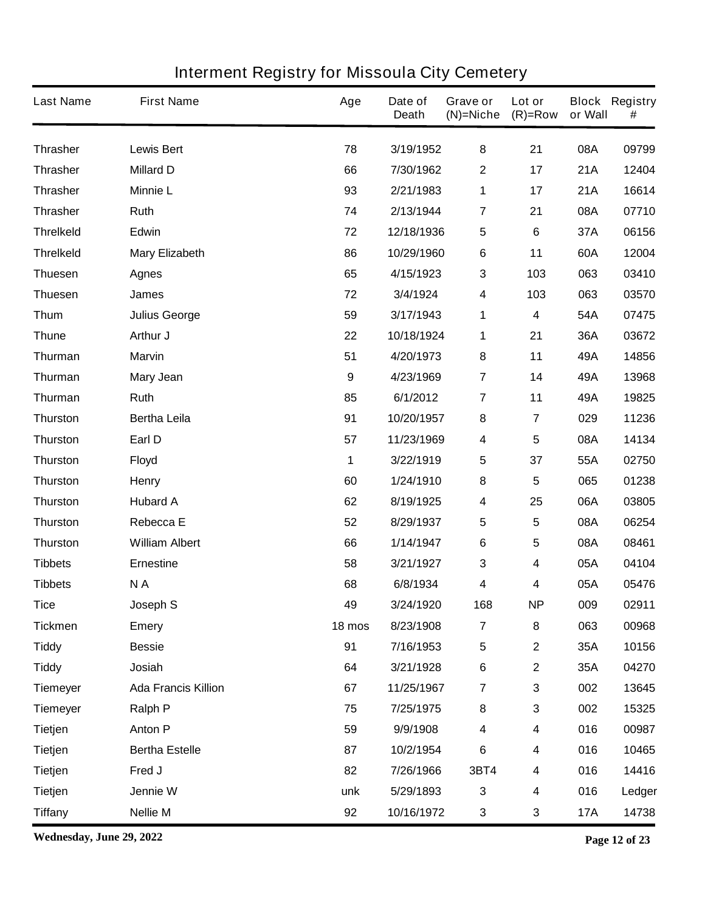| <b>Last Name</b> | <b>First Name</b>          | Age              | Date of<br><b>Death</b> | Grave or<br>$(N)$ =Niche | Lot or<br>$(R)=Row$     | or Wall    | <b>Block Registry</b><br># |
|------------------|----------------------------|------------------|-------------------------|--------------------------|-------------------------|------------|----------------------------|
| <b>Thrasher</b>  | <b>Lewis Bert</b>          | 78               | 3/19/1952               | 8                        | 21                      | 08A        | 09799                      |
| <b>Thrasher</b>  | <b>Millard D</b>           | 66               | 7/30/1962               | $\boldsymbol{2}$         | 17                      | 21A        | 12404                      |
| <b>Thrasher</b>  | <b>Minnie L</b>            | 93               | 2/21/1983               | 1                        | 17                      | 21A        | 16614                      |
| <b>Thrasher</b>  | Ruth                       | 74               | 2/13/1944               | $\overline{7}$           | 21                      | 08A        | 07710                      |
| <b>Threlkeld</b> | Edwin                      | 72               | 12/18/1936              | 5                        | $6\phantom{1}$          | 37A        | 06156                      |
| <b>Threlkeld</b> | <b>Mary Elizabeth</b>      | 86               | 10/29/1960              | $\bf 6$                  | 11                      | 60A        | 12004                      |
| <b>Thuesen</b>   | <b>Agnes</b>               | 65               | 4/15/1923               | 3                        | 103                     | 063        | 03410                      |
| <b>Thuesen</b>   | James                      | 72               | 3/4/1924                | $\overline{\mathbf{4}}$  | 103                     | 063        | 03570                      |
| <b>Thum</b>      | <b>Julius George</b>       | 59               | 3/17/1943               | 1                        | $\boldsymbol{4}$        | 54A        | 07475                      |
| <b>Thune</b>     | Arthur J                   | 22               | 10/18/1924              | 1                        | 21                      | 36A        | 03672                      |
| Thurman          | <b>Marvin</b>              | 51               | 4/20/1973               | 8                        | 11                      | 49A        | 14856                      |
| Thurman          | <b>Mary Jean</b>           | $\boldsymbol{9}$ | 4/23/1969               | $\overline{7}$           | 14                      | 49A        | 13968                      |
| Thurman          | Ruth                       | 85               | 6/1/2012                | $\overline{\mathbf{r}}$  | 11                      | 49A        | 19825                      |
| <b>Thurston</b>  | <b>Bertha Leila</b>        | 91               | 10/20/1957              | 8                        | $\overline{7}$          | 029        | 11236                      |
| <b>Thurston</b>  | Earl D                     | 57               | 11/23/1969              | $\overline{\mathbf{4}}$  | 5                       | 08A        | 14134                      |
| <b>Thurston</b>  | <b>Floyd</b>               | 1                | 3/22/1919               | 5                        | 37                      | 55A        | 02750                      |
| <b>Thurston</b>  | <b>Henry</b>               | 60               | 1/24/1910               | 8                        | 5                       | 065        | 01238                      |
| <b>Thurston</b>  | <b>Hubard A</b>            | 62               | 8/19/1925               | 4                        | 25                      | 06A        | 03805                      |
| <b>Thurston</b>  | Rebecca E                  | 52               | 8/29/1937               | $5\phantom{.0}$          | 5                       | 08A        | 06254                      |
| <b>Thurston</b>  | <b>William Albert</b>      | 66               | 1/14/1947               | $\bf 6$                  | 5                       | 08A        | 08461                      |
| <b>Tibbets</b>   | <b>Ernestine</b>           | 58               | 3/21/1927               | $\mathbf{3}$             | $\overline{\mathbf{4}}$ | 05A        | 04104                      |
| <b>Tibbets</b>   | NA                         | 68               | 6/8/1934                | 4                        | 4                       | 05A        | 05476                      |
| <b>Tice</b>      | Joseph S                   | 49               | 3/24/1920               | 168                      | <b>NP</b>               | 009        | 02911                      |
| <b>Tickmen</b>   | <b>Emery</b>               | 18 mos           | 8/23/1908               | $\overline{7}$           | 8                       | 063        | 00968                      |
| <b>Tiddy</b>     | <b>Bessie</b>              | 91               | 7/16/1953               | ${\bf 5}$                | $\mathbf 2$             | 35A        | 10156                      |
| <b>Tiddy</b>     | Josiah                     | 64               | 3/21/1928               | $\bf 6$                  | $\mathbf 2$             | 35A        | 04270                      |
| <b>Tiemeyer</b>  | <b>Ada Francis Killion</b> | 67               | 11/25/1967              | $\overline{7}$           | 3                       | 002        | 13645                      |
| <b>Tiemeyer</b>  | <b>Ralph P</b>             | 75               | 7/25/1975               | 8                        | 3                       | 002        | 15325                      |
| <b>Tietjen</b>   | <b>Anton P</b>             | 59               | 9/9/1908                | $\overline{\mathbf{4}}$  | $\boldsymbol{4}$        | 016        | 00987                      |
| <b>Tietjen</b>   | <b>Bertha Estelle</b>      | 87               | 10/2/1954               | $\bf 6$                  | 4                       | 016        | 10465                      |
| <b>Tietjen</b>   | Fred J                     | 82               | 7/26/1966               | 3BT4                     | 4                       | 016        | 14416                      |
| <b>Tietjen</b>   | Jennie W                   | unk              | 5/29/1893               | $\mathbf{3}$             | 4                       | 016        | Ledger                     |
| <b>Tiffany</b>   | <b>Nellie M</b>            | 92               | 10/16/1972              | $\mathbf{3}$             | 3                       | <b>17A</b> | 14738                      |

**Wednesday, June 29, 2022 Page 12 of 23**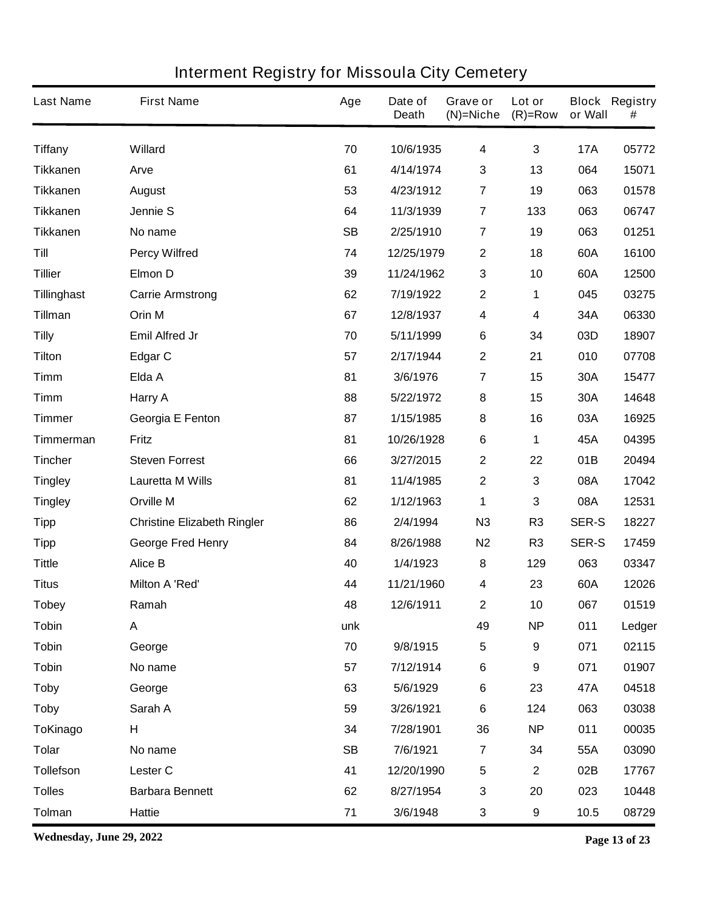| <b>Last Name</b>   | <b>First Name</b>                  | Age       | Date of<br><b>Death</b> | Grave or<br>$(N)$ =Niche | Lot or<br>$(R)=Row$ | or Wall      | <b>Block Registry</b><br># |
|--------------------|------------------------------------|-----------|-------------------------|--------------------------|---------------------|--------------|----------------------------|
| <b>Tiffany</b>     | <b>Willard</b>                     | 70        | 10/6/1935               | 4                        | 3                   | <b>17A</b>   | 05772                      |
| <b>Tikkanen</b>    | Arve                               | 61        | 4/14/1974               | $\mathbf{3}$             | 13                  | 064          | 15071                      |
| <b>Tikkanen</b>    | <b>August</b>                      | 53        | 4/23/1912               | $\overline{7}$           | 19                  | 063          | 01578                      |
| <b>Tikkanen</b>    | <b>Jennie S</b>                    | 64        | 11/3/1939               | $\overline{7}$           | 133                 | 063          | 06747                      |
| <b>Tikkanen</b>    | No name                            | <b>SB</b> | 2/25/1910               | $\overline{7}$           | 19                  | 063          | 01251                      |
| Till               | <b>Percy Wilfred</b>               | 74        | 12/25/1979              | $\boldsymbol{2}$         | 18                  | 60A          | 16100                      |
| <b>Tillier</b>     | <b>Elmon D</b>                     | 39        | 11/24/1962              | $\mathbf{3}$             | 10                  | 60A          | 12500                      |
| <b>Tillinghast</b> | <b>Carrie Armstrong</b>            | 62        | 7/19/1922               | $\mathbf 2$              | 1                   | 045          | 03275                      |
| <b>Tillman</b>     | Orin M                             | 67        | 12/8/1937               | $\overline{\mathbf{4}}$  | 4                   | 34A          | 06330                      |
| <b>Tilly</b>       | <b>Emil Alfred Jr</b>              | 70        | 5/11/1999               | $\bf 6$                  | 34                  | 03D          | 18907                      |
| <b>Tilton</b>      | <b>Edgar C</b>                     | 57        | 2/17/1944               | $\mathbf{2}$             | 21                  | 010          | 07708                      |
| <b>Timm</b>        | Elda A                             | 81        | 3/6/1976                | 7                        | 15                  | 30A          | 15477                      |
| <b>Timm</b>        | Harry A                            | 88        | 5/22/1972               | 8                        | 15                  | 30A          | 14648                      |
| <b>Timmer</b>      | Georgia E Fenton                   | 87        | 1/15/1985               | 8                        | 16                  | 03A          | 16925                      |
| <b>Timmerman</b>   | <b>Fritz</b>                       | 81        | 10/26/1928              | 6                        | 1                   | 45A          | 04395                      |
| <b>Tincher</b>     | <b>Steven Forrest</b>              | 66        | 3/27/2015               | $\mathbf 2$              | 22                  | 01B          | 20494                      |
| <b>Tingley</b>     | <b>Lauretta M Wills</b>            | 81        | 11/4/1985               | $\boldsymbol{2}$         | 3                   | 08A          | 17042                      |
| <b>Tingley</b>     | <b>Orville M</b>                   | 62        | 1/12/1963               | 1                        | 3                   | 08A          | 12531                      |
| <b>Tipp</b>        | <b>Christine Elizabeth Ringler</b> | 86        | 2/4/1994                | N3                       | R <sub>3</sub>      | <b>SER-S</b> | 18227                      |
| <b>Tipp</b>        | <b>George Fred Henry</b>           | 84        | 8/26/1988               | N <sub>2</sub>           | R <sub>3</sub>      | <b>SER-S</b> | 17459                      |
| <b>Tittle</b>      | <b>Alice B</b>                     | 40        | 1/4/1923                | 8                        | 129                 | 063          | 03347                      |
| <b>Titus</b>       | <b>Milton A 'Red'</b>              | 44        | 11/21/1960              | 4                        | 23                  | 60A          | 12026                      |
| Tobey              | Ramah                              | 48        | 12/6/1911               | $\mathbf{z}$             | 10                  | 067          | 01519                      |
| <b>Tobin</b>       | A                                  | unk       |                         | 49                       | <b>NP</b>           | 011          | Ledger                     |
| <b>Tobin</b>       | George                             | 70        | 9/8/1915                | $\sqrt{5}$               | 9                   | 071          | 02115                      |
| <b>Tobin</b>       | No name                            | 57        | 7/12/1914               | $\bf 6$                  | 9                   | 071          | 01907                      |
| <b>Toby</b>        | George                             | 63        | 5/6/1929                | $\bf 6$                  | 23                  | 47A          | 04518                      |
| <b>Toby</b>        | Sarah A                            | 59        | 3/26/1921               | $\bf 6$                  | 124                 | 063          | 03038                      |
| <b>ToKinago</b>    | H                                  | 34        | 7/28/1901               | 36                       | <b>NP</b>           | 011          | 00035                      |
| <b>Tolar</b>       | No name                            | <b>SB</b> | 7/6/1921                | $\overline{\mathbf{z}}$  | 34                  | 55A          | 03090                      |
| <b>Tollefson</b>   | Lester C                           | 41        | 12/20/1990              | $\sqrt{5}$               | $\mathbf 2$         | 02B          | 17767                      |
| <b>Tolles</b>      | <b>Barbara Bennett</b>             | 62        | 8/27/1954               | $\mathbf{3}$             | 20                  | 023          | 10448                      |
| <b>Tolman</b>      | <b>Hattie</b>                      | 71        | 3/6/1948                | 3                        | 9                   | 10.5         | 08729                      |

**Wednesday, June 29, 2022 Page 13 of 23**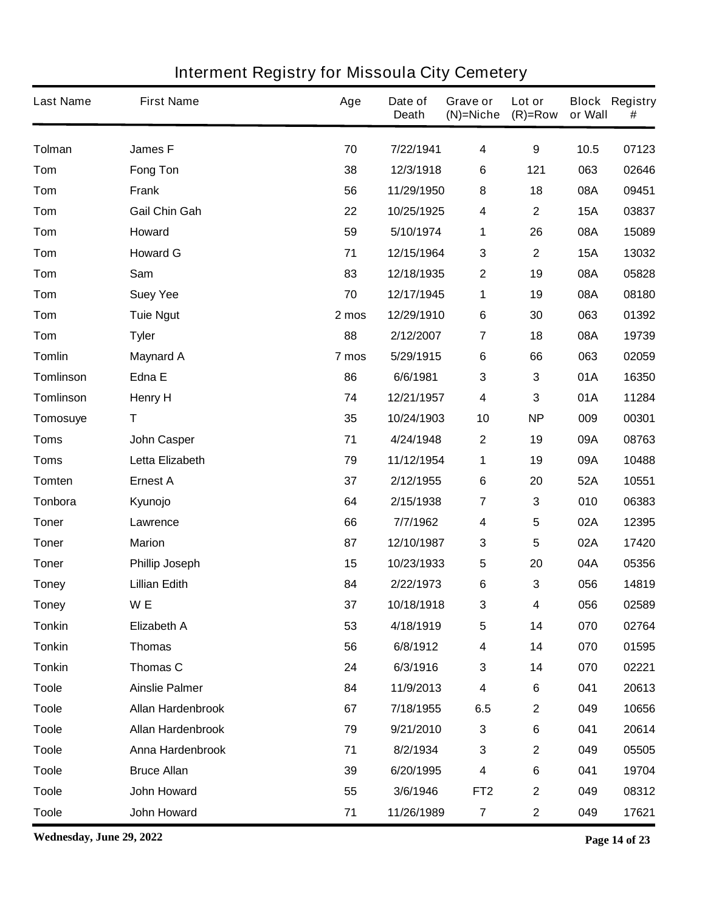| <b>Last Name</b> | <b>First Name</b>        | Age   | Date of<br><b>Death</b> | Grave or<br>$(N)$ =Niche | Lot or<br>$(R)=Row$ | or Wall    | <b>Block Registry</b><br># |
|------------------|--------------------------|-------|-------------------------|--------------------------|---------------------|------------|----------------------------|
| <b>Tolman</b>    | <b>James F</b>           | 70    | 7/22/1941               | $\overline{\mathbf{4}}$  | $\boldsymbol{9}$    | 10.5       | 07123                      |
| Tom              | <b>Fong Ton</b>          | 38    | 12/3/1918               | 6                        | 121                 | 063        | 02646                      |
| Tom              | <b>Frank</b>             | 56    | 11/29/1950              | 8                        | 18                  | 08A        | 09451                      |
| Tom              | <b>Gail Chin Gah</b>     | 22    | 10/25/1925              | $\overline{\mathbf{4}}$  | $\mathbf 2$         | <b>15A</b> | 03837                      |
| Tom              | Howard                   | 59    | 5/10/1974               | 1                        | 26                  | 08A        | 15089                      |
| Tom              | <b>Howard G</b>          | 71    | 12/15/1964              | $\mathbf 3$              | $\mathbf 2$         | <b>15A</b> | 13032                      |
| Tom              | Sam                      | 83    | 12/18/1935              | $\mathbf{2}$             | 19                  | 08A        | 05828                      |
| Tom              | <b>Suey Yee</b>          | 70    | 12/17/1945              | 1                        | 19                  | 08A        | 08180                      |
| Tom              | <b>Tuie Ngut</b>         | 2 mos | 12/29/1910              | $\bf 6$                  | 30                  | 063        | 01392                      |
| Tom              | <b>Tyler</b>             | 88    | 2/12/2007               | $\overline{7}$           | 18                  | 08A        | 19739                      |
| <b>Tomlin</b>    | <b>Maynard A</b>         | 7 mos | 5/29/1915               | $\bf 6$                  | 66                  | 063        | 02059                      |
| <b>Tomlinson</b> | Edna E                   | 86    | 6/6/1981                | $\mathbf{3}$             | 3                   | 01A        | 16350                      |
| <b>Tomlinson</b> | <b>Henry H</b>           | 74    | 12/21/1957              | $\overline{\mathbf{4}}$  | 3                   | 01A        | 11284                      |
| Tomosuye         | T                        | 35    | 10/24/1903              | 10                       | <b>NP</b>           | 009        | 00301                      |
| <b>Toms</b>      | <b>John Casper</b>       | 71    | 4/24/1948               | $\boldsymbol{2}$         | 19                  | 09A        | 08763                      |
| <b>Toms</b>      | Letta Elizabeth          | 79    | 11/12/1954              | 1                        | 19                  | 09A        | 10488                      |
| <b>Tomten</b>    | <b>Ernest A</b>          | 37    | 2/12/1955               | $\bf 6$                  | 20                  | 52A        | 10551                      |
| Tonbora          | Kyunojo                  | 64    | 2/15/1938               | $\overline{7}$           | 3                   | 010        | 06383                      |
| <b>Toner</b>     | Lawrence                 | 66    | 7/7/1962                | $\overline{\mathbf{4}}$  | 5                   | 02A        | 12395                      |
| <b>Toner</b>     | <b>Marion</b>            | 87    | 12/10/1987              | $\mathbf 3$              | 5                   | 02A        | 17420                      |
| <b>Toner</b>     | <b>Phillip Joseph</b>    | 15    | 10/23/1933              | $\sqrt{5}$               | 20                  | 04A        | 05356                      |
| <b>Toney</b>     | <b>Lillian Edith</b>     | 84    | 2/22/1973               | 6                        | 3                   | 056        | 14819                      |
| <b>Toney</b>     | W <sub>E</sub>           | 37    | 10/18/1918              | $\mathbf{3}$             | 4                   | 056        | 02589                      |
| <b>Tonkin</b>    | <b>Elizabeth A</b>       | 53    | 4/18/1919               | ${\bf 5}$                | 14                  | 070        | 02764                      |
| <b>Tonkin</b>    | <b>Thomas</b>            | 56    | 6/8/1912                | $\overline{\mathbf{4}}$  | 14                  | 070        | 01595                      |
| <b>Tonkin</b>    | Thomas C                 | 24    | 6/3/1916                | $\mathbf 3$              | 14                  | 070        | 02221                      |
| <b>Toole</b>     | <b>Ainslie Palmer</b>    | 84    | 11/9/2013               | $\overline{\mathbf{4}}$  | $\bf 6$             | 041        | 20613                      |
| <b>Toole</b>     | <b>Allan Hardenbrook</b> | 67    | 7/18/1955               | 6.5                      | $\mathbf 2$         | 049        | 10656                      |
| <b>Toole</b>     | Allan Hardenbrook        | 79    | 9/21/2010               | $\mathbf 3$              | 6                   | 041        | 20614                      |
| <b>Toole</b>     | Anna Hardenbrook         | 71    | 8/2/1934                | $\mathbf{3}$             | $\mathbf 2$         | 049        | 05505                      |
| <b>Toole</b>     | <b>Bruce Allan</b>       | 39    | 6/20/1995               | $\overline{\mathbf{4}}$  | 6                   | 041        | 19704                      |
| <b>Toole</b>     | <b>John Howard</b>       | 55    | 3/6/1946                | FT <sub>2</sub>          | $\mathbf 2$         | 049        | 08312                      |
| <b>Toole</b>     | John Howard              | 71    | 11/26/1989              | $\overline{7}$           | $\mathbf 2$         | 049        | 17621                      |

**Wednesday, June 29, 2022 Page 14 of 23**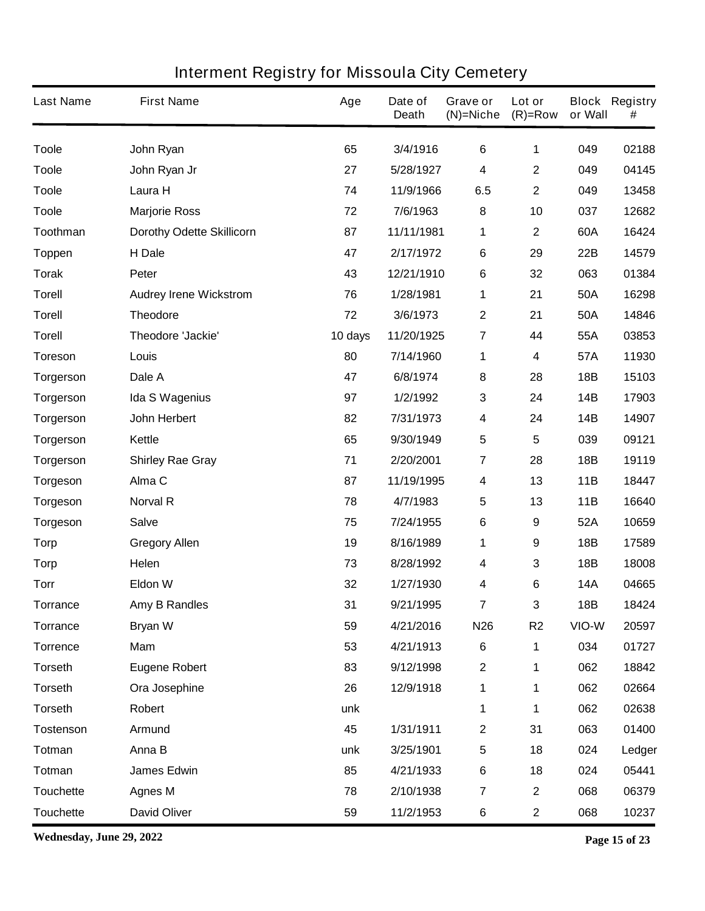| <b>Last Name</b> | <b>First Name</b>                | Age     | Date of<br><b>Death</b> | Grave or<br>$(N)$ =Niche | Lot or<br>$(R)=Row$ | or Wall    | <b>Block Registry</b><br># |
|------------------|----------------------------------|---------|-------------------------|--------------------------|---------------------|------------|----------------------------|
| <b>Toole</b>     | John Ryan                        | 65      | 3/4/1916                | $\bf 6$                  | 1                   | 049        | 02188                      |
| <b>Toole</b>     | John Ryan Jr                     | 27      | 5/28/1927               | $\overline{\mathbf{4}}$  | $\mathbf 2$         | 049        | 04145                      |
| <b>Toole</b>     | Laura H                          | 74      | 11/9/1966               | 6.5                      | $\mathbf 2$         | 049        | 13458                      |
| <b>Toole</b>     | <b>Marjorie Ross</b>             | 72      | 7/6/1963                | 8                        | 10                  | 037        | 12682                      |
| Toothman         | <b>Dorothy Odette Skillicorn</b> | 87      | 11/11/1981              | 1                        | $\mathbf 2$         | 60A        | 16424                      |
| <b>Toppen</b>    | H Dale                           | 47      | 2/17/1972               | $\bf 6$                  | 29                  | 22B        | 14579                      |
| <b>Torak</b>     | Peter                            | 43      | 12/21/1910              | $\bf 6$                  | 32                  | 063        | 01384                      |
| <b>Torell</b>    | <b>Audrey Irene Wickstrom</b>    | 76      | 1/28/1981               | 1                        | 21                  | 50A        | 16298                      |
| <b>Torell</b>    | <b>Theodore</b>                  | 72      | 3/6/1973                | $\mathbf{2}$             | 21                  | 50A        | 14846                      |
| <b>Torell</b>    | <b>Theodore 'Jackie'</b>         | 10 days | 11/20/1925              | 7                        | 44                  | 55A        | 03853                      |
| <b>Toreson</b>   | Louis                            | 80      | 7/14/1960               | 1                        | 4                   | 57A        | 11930                      |
| <b>Torgerson</b> | Dale A                           | 47      | 6/8/1974                | 8                        | 28                  | <b>18B</b> | 15103                      |
| Torgerson        | <b>Ida S Wagenius</b>            | 97      | 1/2/1992                | $\mathbf 3$              | 24                  | 14B        | 17903                      |
| <b>Torgerson</b> | John Herbert                     | 82      | 7/31/1973               | $\boldsymbol{4}$         | 24                  | 14B        | 14907                      |
| <b>Torgerson</b> | Kettle                           | 65      | 9/30/1949               | 5                        | 5                   | 039        | 09121                      |
| <b>Torgerson</b> | <b>Shirley Rae Gray</b>          | 71      | 2/20/2001               | $\overline{7}$           | 28                  | 18B        | 19119                      |
| <b>Torgeson</b>  | Alma <sub>C</sub>                | 87      | 11/19/1995              | $\boldsymbol{4}$         | 13                  | 11B        | 18447                      |
| <b>Torgeson</b>  | <b>Norval R</b>                  | 78      | 4/7/1983                | $\sqrt{5}$               | 13                  | 11B        | 16640                      |
| <b>Torgeson</b>  | <b>Salve</b>                     | 75      | 7/24/1955               | 6                        | 9                   | 52A        | 10659                      |
| <b>Torp</b>      | <b>Gregory Allen</b>             | 19      | 8/16/1989               | 1                        | 9                   | 18B        | 17589                      |
| <b>Torp</b>      | Helen                            | 73      | 8/28/1992               | $\boldsymbol{4}$         | 3                   | 18B        | 18008                      |
| <b>Torr</b>      | <b>Eldon W</b>                   | 32      | 1/27/1930               | 4                        | 6                   | <b>14A</b> | 04665                      |
| <b>Torrance</b>  | <b>Amy B Randles</b>             | 31      | 9/21/1995               | $\overline{7}$           | 3                   | 18B        | 18424                      |
| <b>Torrance</b>  | <b>Bryan W</b>                   | 59      | 4/21/2016               | <b>N26</b>               | R <sub>2</sub>      | VIO-W      | 20597                      |
| <b>Torrence</b>  | Mam                              | 53      | 4/21/1913               | $6\phantom{1}6$          | 1                   | 034        | 01727                      |
| <b>Torseth</b>   | <b>Eugene Robert</b>             | 83      | 9/12/1998               | $\boldsymbol{2}$         | 1                   | 062        | 18842                      |
| <b>Torseth</b>   | Ora Josephine                    | 26      | 12/9/1918               | 1                        | 1                   | 062        | 02664                      |
| <b>Torseth</b>   | Robert                           | unk     |                         | 1                        | 1                   | 062        | 02638                      |
| <b>Tostenson</b> | <b>Armund</b>                    | 45      | 1/31/1911               | $\boldsymbol{2}$         | 31                  | 063        | 01400                      |
| <b>Totman</b>    | Anna B                           | unk     | 3/25/1901               | ${\bf 5}$                | 18                  | 024        | Ledger                     |
| <b>Totman</b>    | <b>James Edwin</b>               | 85      | 4/21/1933               | $\bf 6$                  | 18                  | 024        | 05441                      |
| <b>Touchette</b> | <b>Agnes M</b>                   | 78      | 2/10/1938               | $\overline{7}$           | $\mathbf 2$         | 068        | 06379                      |
| <b>Touchette</b> | <b>David Oliver</b>              | 59      | 11/2/1953               | 6                        | $\mathbf 2$         | 068        | 10237                      |

**Wednesday, June 29, 2022 Page 15 of 23**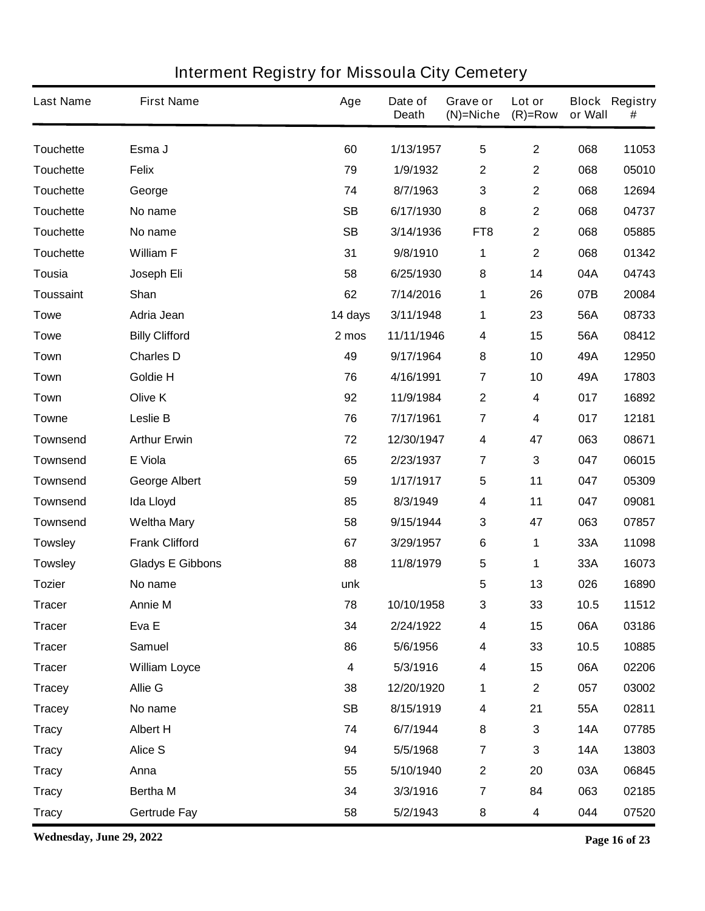| <b>Last Name</b> | <b>First Name</b>       | Age       | Date of<br><b>Death</b> | <b>Grave or</b><br>$(N)=Niche$ | Lot or<br>$(R)=Row$ | or Wall    | <b>Block Registry</b><br># |
|------------------|-------------------------|-----------|-------------------------|--------------------------------|---------------------|------------|----------------------------|
| <b>Touchette</b> | Esma J                  | 60        | 1/13/1957               | 5                              | $\mathbf{2}$        | 068        | 11053                      |
| <b>Touchette</b> | <b>Felix</b>            | 79        | 1/9/1932                | $\boldsymbol{2}$               | $\mathbf 2$         | 068        | 05010                      |
| <b>Touchette</b> | George                  | 74        | 8/7/1963                | $\mathbf{3}$                   | $\mathbf 2$         | 068        | 12694                      |
| <b>Touchette</b> | No name                 | <b>SB</b> | 6/17/1930               | 8                              | $\mathbf 2$         | 068        | 04737                      |
| <b>Touchette</b> | No name                 | <b>SB</b> | 3/14/1936               | FT <sub>8</sub>                | $\mathbf 2$         | 068        | 05885                      |
| <b>Touchette</b> | <b>William F</b>        | 31        | 9/8/1910                | 1                              | $\mathbf 2$         | 068        | 01342                      |
| <b>Tousia</b>    | Joseph Eli              | 58        | 6/25/1930               | 8                              | 14                  | 04A        | 04743                      |
| <b>Toussaint</b> | Shan                    | 62        | 7/14/2016               | 1                              | 26                  | 07B        | 20084                      |
| <b>Towe</b>      | Adria Jean              | 14 days   | 3/11/1948               | 1                              | 23                  | 56A        | 08733                      |
| <b>Towe</b>      | <b>Billy Clifford</b>   | 2 mos     | 11/11/1946              | 4                              | 15                  | 56A        | 08412                      |
| Town             | <b>Charles D</b>        | 49        | 9/17/1964               | 8                              | 10                  | 49A        | 12950                      |
| Town             | Goldie H                | 76        | 4/16/1991               | $\overline{7}$                 | 10                  | 49A        | 17803                      |
| Town             | Olive K                 | 92        | 11/9/1984               | $\boldsymbol{2}$               | 4                   | 017        | 16892                      |
| Towne            | Leslie B                | 76        | 7/17/1961               | $\overline{7}$                 | 4                   | 017        | 12181                      |
| <b>Townsend</b>  | <b>Arthur Erwin</b>     | 72        | 12/30/1947              | 4                              | 47                  | 063        | 08671                      |
| <b>Townsend</b>  | E Viola                 | 65        | 2/23/1937               | $\overline{7}$                 | 3                   | 047        | 06015                      |
| <b>Townsend</b>  | <b>George Albert</b>    | 59        | 1/17/1917               | 5                              | 11                  | 047        | 05309                      |
| <b>Townsend</b>  | <b>Ida Lloyd</b>        | 85        | 8/3/1949                | 4                              | 11                  | 047        | 09081                      |
| <b>Townsend</b>  | <b>Weltha Mary</b>      | 58        | 9/15/1944               | $\mathbf{3}$                   | 47                  | 063        | 07857                      |
| <b>Towsley</b>   | <b>Frank Clifford</b>   | 67        | 3/29/1957               | 6                              | 1                   | 33A        | 11098                      |
| <b>Towsley</b>   | <b>Gladys E Gibbons</b> | 88        | 11/8/1979               | 5                              | 1                   | 33A        | 16073                      |
| <b>Tozier</b>    | No name                 | unk       |                         | 5                              | 13                  | 026        | 16890                      |
| Tracer           | <b>Annie M</b>          | 78        | 10/10/1958              | З                              | 33                  | 10.5       | 11512                      |
| <b>Tracer</b>    | Eva E                   | 34        | 2/24/1922               | 4                              | 15                  | 06A        | 03186                      |
| <b>Tracer</b>    | <b>Samuel</b>           | 86        | 5/6/1956                | 4                              | 33                  | 10.5       | 10885                      |
| <b>Tracer</b>    | <b>William Loyce</b>    | 4         | 5/3/1916                | 4                              | 15                  | 06A        | 02206                      |
| <b>Tracey</b>    | <b>Allie G</b>          | 38        | 12/20/1920              | 1                              | $\mathbf{2}$        | 057        | 03002                      |
| <b>Tracey</b>    | No name                 | <b>SB</b> | 8/15/1919               | 4                              | 21                  | 55A        | 02811                      |
| <b>Tracy</b>     | <b>Albert H</b>         | 74        | 6/7/1944                | 8                              | 3                   | <b>14A</b> | 07785                      |
| <b>Tracy</b>     | <b>Alice S</b>          | 94        | 5/5/1968                | $\overline{7}$                 | 3                   | <b>14A</b> | 13803                      |
| <b>Tracy</b>     | Anna                    | 55        | 5/10/1940               | $\boldsymbol{2}$               | 20                  | 03A        | 06845                      |
| <b>Tracy</b>     | <b>Bertha M</b>         | 34        | 3/3/1916                | $\overline{7}$                 | 84                  | 063        | 02185                      |
| <b>Tracy</b>     | <b>Gertrude Fay</b>     | 58        | 5/2/1943                | 8                              | 4                   | 044        | 07520                      |

**Wednesday, June 29, 2022 Page 16 of 23**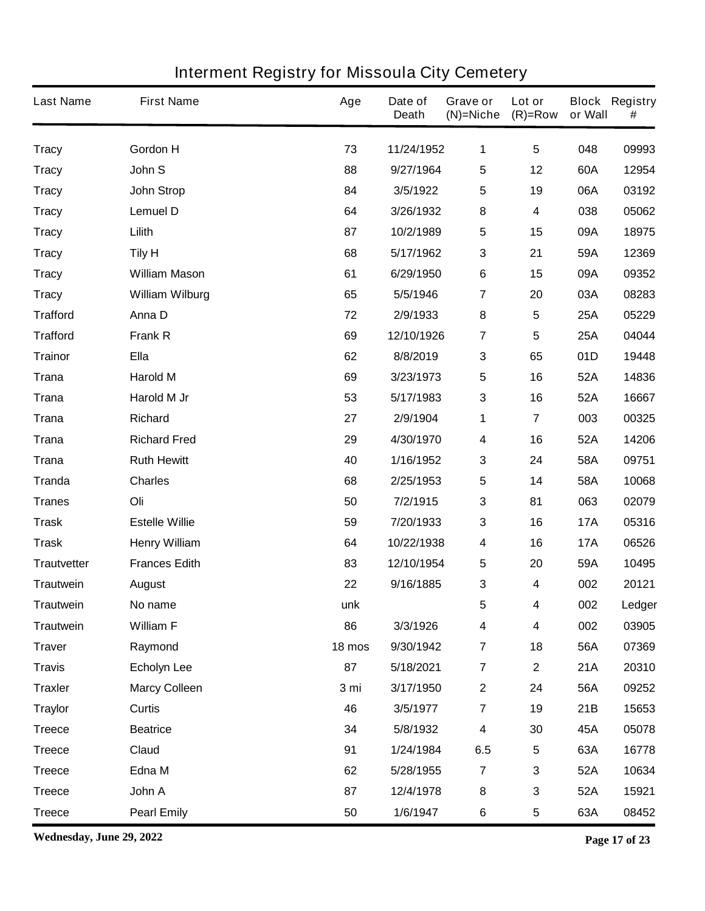| <b>Last Name</b>   | <b>First Name</b>      | Age    | Date of<br><b>Death</b> | Grave or<br>$(N)$ =Niche | Lot or<br>$(R)=Row$     | or Wall    | <b>Block Registry</b><br># |
|--------------------|------------------------|--------|-------------------------|--------------------------|-------------------------|------------|----------------------------|
| <b>Tracy</b>       | <b>Gordon H</b>        | 73     | 11/24/1952              | 1                        | $5\phantom{1}$          | 048        | 09993                      |
| <b>Tracy</b>       | John S                 | 88     | 9/27/1964               | $\sqrt{5}$               | 12                      | 60A        | 12954                      |
| <b>Tracy</b>       | <b>John Strop</b>      | 84     | 3/5/1922                | $\overline{\mathbf{5}}$  | 19                      | 06A        | 03192                      |
| <b>Tracy</b>       | <b>Lemuel D</b>        | 64     | 3/26/1932               | 8                        | 4                       | 038        | 05062                      |
| <b>Tracy</b>       | Lilith                 | 87     | 10/2/1989               | $\sqrt{5}$               | 15                      | 09A        | 18975                      |
| <b>Tracy</b>       | <b>Tily H</b>          | 68     | 5/17/1962               | $\mathbf 3$              | 21                      | 59A        | 12369                      |
| <b>Tracy</b>       | <b>William Mason</b>   | 61     | 6/29/1950               | $\bf 6$                  | 15                      | 09A        | 09352                      |
| <b>Tracy</b>       | <b>William Wilburg</b> | 65     | 5/5/1946                | $\overline{7}$           | 20                      | 03A        | 08283                      |
| <b>Trafford</b>    | Anna D                 | 72     | 2/9/1933                | 8                        | 5                       | <b>25A</b> | 05229                      |
| <b>Trafford</b>    | <b>Frank R</b>         | 69     | 12/10/1926              | $\overline{\mathbf{r}}$  | 5                       | 25A        | 04044                      |
| <b>Trainor</b>     | <b>Ella</b>            | 62     | 8/8/2019                | $\mathbf{3}$             | 65                      | 01D        | 19448                      |
| <b>Trana</b>       | <b>Harold M</b>        | 69     | 3/23/1973               | $\sqrt{5}$               | 16                      | 52A        | 14836                      |
| <b>Trana</b>       | Harold M Jr            | 53     | 5/17/1983               | $\mathbf{3}$             | 16                      | 52A        | 16667                      |
| <b>Trana</b>       | <b>Richard</b>         | 27     | 2/9/1904                | 1                        | $\overline{\mathbf{7}}$ | 003        | 00325                      |
| <b>Trana</b>       | <b>Richard Fred</b>    | 29     | 4/30/1970               | $\overline{\mathbf{4}}$  | 16                      | 52A        | 14206                      |
| <b>Trana</b>       | <b>Ruth Hewitt</b>     | 40     | 1/16/1952               | $\mathbf 3$              | 24                      | 58A        | 09751                      |
| <b>Tranda</b>      | <b>Charles</b>         | 68     | 2/25/1953               | $\sqrt{5}$               | 14                      | 58A        | 10068                      |
| <b>Tranes</b>      | Oli                    | 50     | 7/2/1915                | $\mathbf 3$              | 81                      | 063        | 02079                      |
| <b>Trask</b>       | <b>Estelle Willie</b>  | 59     | 7/20/1933               | 3                        | 16                      | <b>17A</b> | 05316                      |
| <b>Trask</b>       | <b>Henry William</b>   | 64     | 10/22/1938              | 4                        | 16                      | <b>17A</b> | 06526                      |
| <b>Trautvetter</b> | <b>Frances Edith</b>   | 83     | 12/10/1954              | $\sqrt{5}$               | 20                      | 59A        | 10495                      |
| <b>Trautwein</b>   | <b>August</b>          | 22     | 9/16/1885               | 3                        | 4                       | 002        | 20121                      |
| <b>Trautwein</b>   | No name                | unk    |                         | 5                        | 4                       | 002        | Ledger                     |
| <b>Trautwein</b>   | <b>William F</b>       | 86     | 3/3/1926                | $\overline{\mathbf{4}}$  | 4                       | 002        | 03905                      |
| <b>Traver</b>      | Raymond                | 18 mos | 9/30/1942               | $\overline{7}$           | 18                      | 56A        | 07369                      |
| <b>Travis</b>      | <b>Echolyn Lee</b>     | 87     | 5/18/2021               | $\overline{7}$           | $\mathbf 2$             | 21A        | 20310                      |
| <b>Traxler</b>     | <b>Marcy Colleen</b>   | 3 mi   | 3/17/1950               | $\mathbf 2$              | 24                      | 56A        | 09252                      |
| <b>Traylor</b>     | Curtis                 | 46     | 3/5/1977                | $\overline{7}$           | 19                      | 21B        | 15653                      |
| <b>Treece</b>      | <b>Beatrice</b>        | 34     | 5/8/1932                | $\boldsymbol{4}$         | 30                      | 45A        | 05078                      |
| <b>Treece</b>      | Claud                  | 91     | 1/24/1984               | 6.5                      | 5                       | 63A        | 16778                      |
| <b>Treece</b>      | Edna M                 | 62     | 5/28/1955               | $\overline{\mathbf{z}}$  | 3                       | 52A        | 10634                      |
| <b>Treece</b>      | John A                 | 87     | 12/4/1978               | $\pmb{8}$                | 3                       | 52A        | 15921                      |
| <b>Treece</b>      | <b>Pearl Emily</b>     | 50     | 1/6/1947                | $\bf 6$                  | 5                       | 63A        | 08452                      |

**Wednesday, June 29, 2022 Page 17 of 23**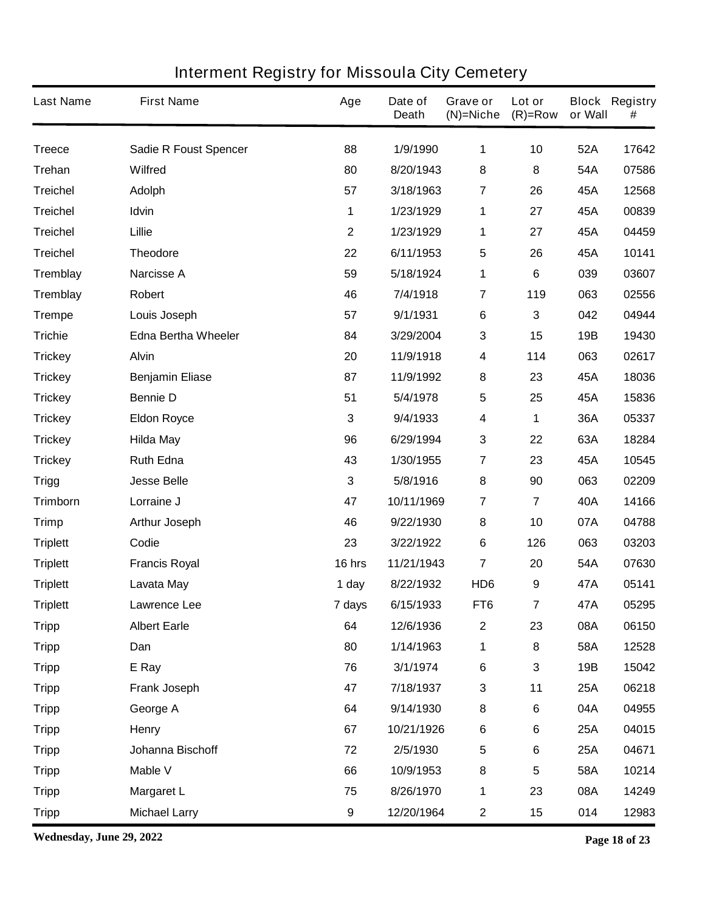| <b>Last Name</b> | <b>First Name</b>            | Age              | Date of<br><b>Death</b> | Grave or<br>$(N)$ =Niche | Lot or<br>$(R)=Row$ | or Wall    | <b>Block Registry</b><br># |
|------------------|------------------------------|------------------|-------------------------|--------------------------|---------------------|------------|----------------------------|
| <b>Treece</b>    | <b>Sadie R Foust Spencer</b> | 88               | 1/9/1990                | 1                        | 10                  | 52A        | 17642                      |
| <b>Trehan</b>    | <b>Wilfred</b>               | 80               | 8/20/1943               | 8                        | 8                   | 54A        | 07586                      |
| <b>Treichel</b>  | <b>Adolph</b>                | 57               | 3/18/1963               | 7                        | 26                  | 45A        | 12568                      |
| <b>Treichel</b>  | Idvin                        | 1                | 1/23/1929               | 1                        | 27                  | 45A        | 00839                      |
| <b>Treichel</b>  | Lillie                       | $\mathbf{2}$     | 1/23/1929               | 1                        | 27                  | 45A        | 04459                      |
| <b>Treichel</b>  | <b>Theodore</b>              | 22               | 6/11/1953               | $\sqrt{5}$               | 26                  | 45A        | 10141                      |
| Tremblay         | <b>Narcisse A</b>            | 59               | 5/18/1924               | 1                        | 6                   | 039        | 03607                      |
| Tremblay         | Robert                       | 46               | 7/4/1918                | 7                        | 119                 | 063        | 02556                      |
| <b>Trempe</b>    | Louis Joseph                 | 57               | 9/1/1931                | $\bf 6$                  | 3                   | 042        | 04944                      |
| <b>Trichie</b>   | <b>Edna Bertha Wheeler</b>   | 84               | 3/29/2004               | 3                        | 15                  | 19B        | 19430                      |
| <b>Trickey</b>   | <b>Alvin</b>                 | 20               | 11/9/1918               | 4                        | 114                 | 063        | 02617                      |
| <b>Trickey</b>   | <b>Benjamin Eliase</b>       | 87               | 11/9/1992               | 8                        | 23                  | 45A        | 18036                      |
| <b>Trickey</b>   | <b>Bennie D</b>              | 51               | 5/4/1978                | $\overline{\mathbf{5}}$  | 25                  | 45A        | 15836                      |
| <b>Trickey</b>   | <b>Eldon Royce</b>           | 3                | 9/4/1933                | 4                        | 1                   | 36A        | 05337                      |
| <b>Trickey</b>   | <b>Hilda May</b>             | 96               | 6/29/1994               | $\mathbf{3}$             | 22                  | 63A        | 18284                      |
| <b>Trickey</b>   | <b>Ruth Edna</b>             | 43               | 1/30/1955               | $\overline{\mathbf{r}}$  | 23                  | 45A        | 10545                      |
| <b>Trigg</b>     | <b>Jesse Belle</b>           | 3                | 5/8/1916                | 8                        | 90                  | 063        | 02209                      |
| Trimborn         | Lorraine J                   | 47               | 10/11/1969              | $\overline{7}$           | 7                   | 40A        | 14166                      |
| <b>Trimp</b>     | <b>Arthur Joseph</b>         | 46               | 9/22/1930               | 8                        | 10                  | 07A        | 04788                      |
| <b>Triplett</b>  | Codie                        | 23               | 3/22/1922               | 6                        | 126                 | 063        | 03203                      |
| <b>Triplett</b>  | <b>Francis Royal</b>         | 16 hrs           | 11/21/1943              | $\overline{7}$           | 20                  | 54A        | 07630                      |
| <b>Triplett</b>  | Lavata May                   | 1 day            | 8/22/1932               | HD <sub>6</sub>          | 9                   | 47A        | 05141                      |
| <b>Triplett</b>  | Lawrence Lee                 | 7 days           | 6/15/1933               | FT6                      | 7                   | 47A        | 05295                      |
| <b>Tripp</b>     | <b>Albert Earle</b>          | 64               | 12/6/1936               | $\boldsymbol{2}$         | 23                  | 08A        | 06150                      |
| <b>Tripp</b>     | Dan                          | 80               | 1/14/1963               | 1                        | 8                   | 58A        | 12528                      |
| <b>Tripp</b>     | E Ray                        | 76               | 3/1/1974                | $\bf 6$                  | 3                   | 19B        | 15042                      |
| <b>Tripp</b>     | <b>Frank Joseph</b>          | 47               | 7/18/1937               | $\mathbf{3}$             | 11                  | 25A        | 06218                      |
| <b>Tripp</b>     | George A                     | 64               | 9/14/1930               | $\bf 8$                  | 6                   | 04A        | 04955                      |
| <b>Tripp</b>     | <b>Henry</b>                 | 67               | 10/21/1926              | $\bf 6$                  | 6                   | 25A        | 04015                      |
| <b>Tripp</b>     | Johanna Bischoff             | 72               | 2/5/1930                | $\sqrt{5}$               | 6                   | <b>25A</b> | 04671                      |
| <b>Tripp</b>     | <b>Mable V</b>               | 66               | 10/9/1953               | $\bf 8$                  | 5                   | 58A        | 10214                      |
| <b>Tripp</b>     | <b>Margaret L</b>            | 75               | 8/26/1970               | 1                        | 23                  | 08A        | 14249                      |
| <b>Tripp</b>     | <b>Michael Larry</b>         | $\boldsymbol{9}$ | 12/20/1964              | $\mathbf 2$              | 15                  | 014        | 12983                      |

**Wednesday, June 29, 2022 Page 18 of 23**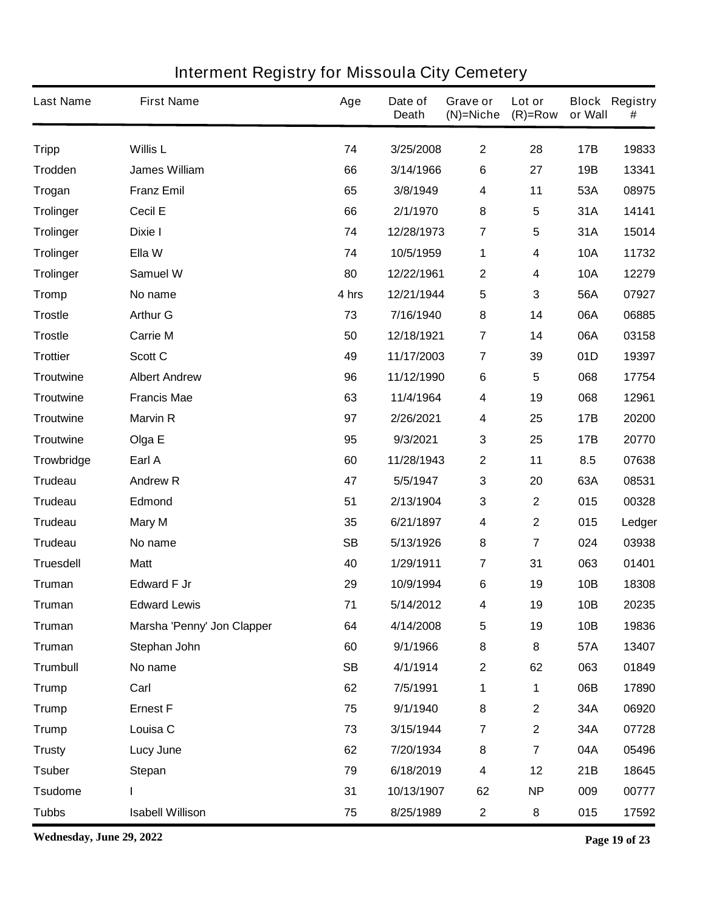| <b>Last Name</b> | <b>First Name</b>          | Age       | Date of<br><b>Death</b> | Grave or<br>$(N)$ =Niche | Lot or<br>$(R)=Row$     | or Wall    | <b>Block Registry</b><br># |
|------------------|----------------------------|-----------|-------------------------|--------------------------|-------------------------|------------|----------------------------|
| <b>Tripp</b>     | <b>Willis L</b>            | 74        | 3/25/2008               | $\mathbf{2}$             | 28                      | 17B        | 19833                      |
| Trodden          | <b>James William</b>       | 66        | 3/14/1966               | $\bf 6$                  | 27                      | 19B        | 13341                      |
| <b>Trogan</b>    | <b>Franz Emil</b>          | 65        | 3/8/1949                | $\boldsymbol{4}$         | 11                      | 53A        | 08975                      |
| <b>Trolinger</b> | Cecil E                    | 66        | 2/1/1970                | 8                        | 5                       | 31A        | 14141                      |
| <b>Trolinger</b> | Dixie I                    | 74        | 12/28/1973              | $\overline{\mathbf{r}}$  | 5                       | 31A        | 15014                      |
| <b>Trolinger</b> | Ella W                     | 74        | 10/5/1959               | 1                        | 4                       | <b>10A</b> | 11732                      |
| <b>Trolinger</b> | Samuel W                   | 80        | 12/22/1961              | $\mathbf{2}$             | 4                       | <b>10A</b> | 12279                      |
| <b>Tromp</b>     | No name                    | 4 hrs     | 12/21/1944              | $\sqrt{5}$               | 3                       | 56A        | 07927                      |
| <b>Trostle</b>   | <b>Arthur G</b>            | 73        | 7/16/1940               | 8                        | 14                      | 06A        | 06885                      |
| <b>Trostle</b>   | <b>Carrie M</b>            | 50        | 12/18/1921              | $\overline{7}$           | 14                      | 06A        | 03158                      |
| <b>Trottier</b>  | Scott C                    | 49        | 11/17/2003              | $\overline{7}$           | 39                      | 01D        | 19397                      |
| <b>Troutwine</b> | <b>Albert Andrew</b>       | 96        | 11/12/1990              | $\bf 6$                  | 5                       | 068        | 17754                      |
| <b>Troutwine</b> | <b>Francis Mae</b>         | 63        | 11/4/1964               | $\boldsymbol{4}$         | 19                      | 068        | 12961                      |
| <b>Troutwine</b> | <b>Marvin R</b>            | 97        | 2/26/2021               | 4                        | 25                      | 17B        | 20200                      |
| <b>Troutwine</b> | Olga E                     | 95        | 9/3/2021                | $\mathbf{3}$             | 25                      | 17B        | 20770                      |
| Trowbridge       | Earl A                     | 60        | 11/28/1943              | $\boldsymbol{2}$         | 11                      | 8.5        | 07638                      |
| Trudeau          | <b>Andrew R</b>            | 47        | 5/5/1947                | $\mathbf{3}$             | 20                      | 63A        | 08531                      |
| <b>Trudeau</b>   | <b>Edmond</b>              | 51        | 2/13/1904               | $\mathbf{3}$             | $\overline{\mathbf{2}}$ | 015        | 00328                      |
| <b>Trudeau</b>   | <b>Mary M</b>              | 35        | 6/21/1897               | $\overline{\mathbf{4}}$  | $\mathbf 2$             | 015        | Ledger                     |
| <b>Trudeau</b>   | No name                    | <b>SB</b> | 5/13/1926               | 8                        | $\overline{\mathbf{7}}$ | 024        | 03938                      |
| <b>Truesdell</b> | <b>Matt</b>                | 40        | 1/29/1911               | 7                        | 31                      | 063        | 01401                      |
| <b>Truman</b>    | <b>Edward F Jr</b>         | 29        | 10/9/1994               | $\bf 6$                  | 19                      | 10B        | 18308                      |
| Truman           | <b>Edward Lewis</b>        | 71        | 5/14/2012               | 4                        | 19                      | 10B        | 20235                      |
| <b>Truman</b>    | Marsha 'Penny' Jon Clapper | 64        | 4/14/2008               | 5                        | 19                      | 10B        | 19836                      |
| <b>Truman</b>    | Stephan John               | 60        | 9/1/1966                | 8                        | 8                       | 57A        | 13407                      |
| <b>Trumbull</b>  | No name                    | <b>SB</b> | 4/1/1914                | $\boldsymbol{2}$         | 62                      | 063        | 01849                      |
| <b>Trump</b>     | Carl                       | 62        | 7/5/1991                | 1                        | 1                       | 06B        | 17890                      |
| <b>Trump</b>     | <b>Ernest F</b>            | 75        | 9/1/1940                | 8                        | $\mathbf 2$             | 34A        | 06920                      |
| <b>Trump</b>     | Louisa C                   | 73        | 3/15/1944               | $\overline{7}$           | $\overline{\mathbf{2}}$ | 34A        | 07728                      |
| <b>Trusty</b>    | <b>Lucy June</b>           | 62        | 7/20/1934               | $\bf 8$                  | $\overline{\mathbf{7}}$ | 04A        | 05496                      |
| <b>Tsuber</b>    | <b>Stepan</b>              | 79        | 6/18/2019               | $\boldsymbol{4}$         | 12                      | 21B        | 18645                      |
| <b>Tsudome</b>   | ı                          | 31        | 10/13/1907              | 62                       | <b>NP</b>               | 009        | 00777                      |
| <b>Tubbs</b>     | <b>Isabell Willison</b>    | 75        | 8/25/1989               | $\mathbf 2$              | 8                       | 015        | 17592                      |

**Wednesday, June 29, 2022 Page 19 of 23**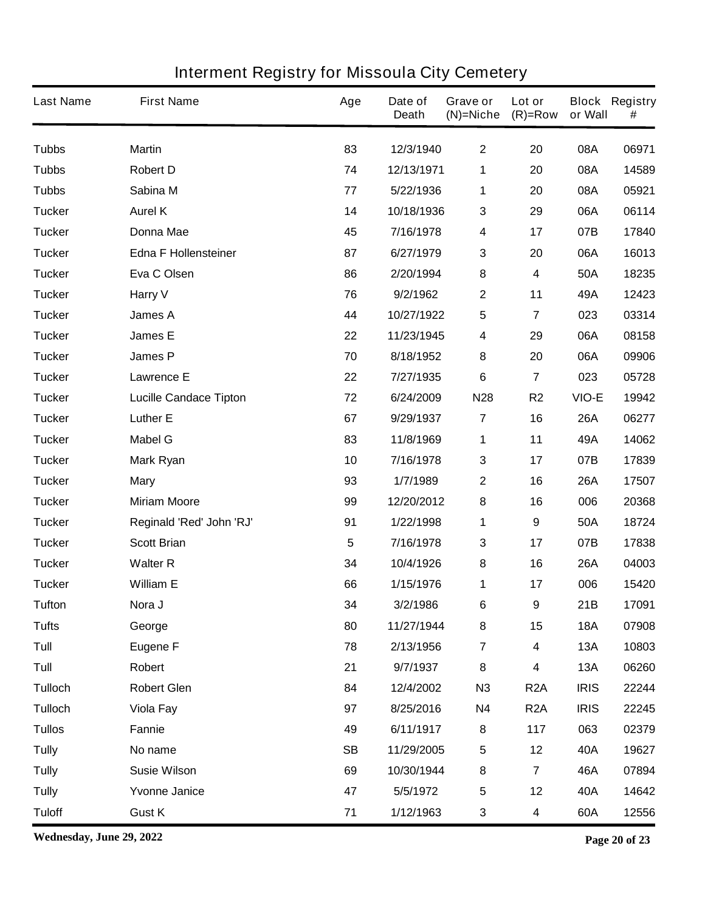| <b>Last Name</b> | <b>First Name</b>             | Age       | Date of<br><b>Death</b> | Grave or<br>$(N)$ =Niche | Lot or<br>$(R)=Row$     | or Wall     | <b>Block Registry</b><br># |
|------------------|-------------------------------|-----------|-------------------------|--------------------------|-------------------------|-------------|----------------------------|
| <b>Tubbs</b>     | <b>Martin</b>                 | 83        | 12/3/1940               | $\mathbf{2}$             | 20                      | 08A         | 06971                      |
| <b>Tubbs</b>     | <b>Robert D</b>               | 74        | 12/13/1971              | 1                        | 20                      | 08A         | 14589                      |
| <b>Tubbs</b>     | Sabina M                      | 77        | 5/22/1936               | 1                        | 20                      | 08A         | 05921                      |
| <b>Tucker</b>    | <b>Aurel K</b>                | 14        | 10/18/1936              | 3                        | 29                      | 06A         | 06114                      |
| <b>Tucker</b>    | <b>Donna Mae</b>              | 45        | 7/16/1978               | $\boldsymbol{4}$         | 17                      | 07B         | 17840                      |
| <b>Tucker</b>    | <b>Edna F Hollensteiner</b>   | 87        | 6/27/1979               | 3                        | 20                      | 06A         | 16013                      |
| <b>Tucker</b>    | Eva C Olsen                   | 86        | 2/20/1994               | 8                        | 4                       | 50A         | 18235                      |
| <b>Tucker</b>    | Harry V                       | 76        | 9/2/1962                | $\mathbf{2}$             | 11                      | 49A         | 12423                      |
| <b>Tucker</b>    | <b>James A</b>                | 44        | 10/27/1922              | $\sqrt{5}$               | 7                       | 023         | 03314                      |
| <b>Tucker</b>    | <b>James E</b>                | 22        | 11/23/1945              | $\boldsymbol{4}$         | 29                      | 06A         | 08158                      |
| <b>Tucker</b>    | <b>James P</b>                | 70        | 8/18/1952               | 8                        | 20                      | 06A         | 09906                      |
| <b>Tucker</b>    | <b>Lawrence E</b>             | 22        | 7/27/1935               | 6                        | $\overline{\mathbf{7}}$ | 023         | 05728                      |
| <b>Tucker</b>    | <b>Lucille Candace Tipton</b> | 72        | 6/24/2009               | <b>N28</b>               | R <sub>2</sub>          | VIO-E       | 19942                      |
| <b>Tucker</b>    | <b>Luther E</b>               | 67        | 9/29/1937               | $\overline{7}$           | 16                      | <b>26A</b>  | 06277                      |
| <b>Tucker</b>    | <b>Mabel G</b>                | 83        | 11/8/1969               | 1                        | 11                      | 49A         | 14062                      |
| <b>Tucker</b>    | <b>Mark Ryan</b>              | 10        | 7/16/1978               | $\mathbf{3}$             | 17                      | 07B         | 17839                      |
| <b>Tucker</b>    | <b>Mary</b>                   | 93        | 1/7/1989                | $\boldsymbol{2}$         | 16                      | <b>26A</b>  | 17507                      |
| <b>Tucker</b>    | <b>Miriam Moore</b>           | 99        | 12/20/2012              | 8                        | 16                      | 006         | 20368                      |
| <b>Tucker</b>    | Reginald 'Red' John 'RJ'      | 91        | 1/22/1998               | 1                        | 9                       | 50A         | 18724                      |
| <b>Tucker</b>    | <b>Scott Brian</b>            | 5         | 7/16/1978               | 3                        | 17                      | 07B         | 17838                      |
| <b>Tucker</b>    | <b>Walter R</b>               | 34        | 10/4/1926               | 8                        | 16                      | <b>26A</b>  | 04003                      |
| <b>Tucker</b>    | <b>William E</b>              | 66        | 1/15/1976               | 1                        | 17                      | 006         | 15420                      |
| Tufton           | Nora J                        | 34        | 3/2/1986                | 6                        | 9                       | 21B         | 17091                      |
| <b>Tufts</b>     | George                        | 80        | 11/27/1944              | 8                        | 15                      | <b>18A</b>  | 07908                      |
| Tull             | <b>Eugene F</b>               | 78        | 2/13/1956               | $\overline{7}$           | 4                       | 13A         | 10803                      |
| Tull             | Robert                        | 21        | 9/7/1937                | 8                        | 4                       | 13A         | 06260                      |
| <b>Tulloch</b>   | <b>Robert Glen</b>            | 84        | 12/4/2002               | N3                       | R <sub>2</sub> A        | <b>IRIS</b> | 22244                      |
| <b>Tulloch</b>   | <b>Viola Fay</b>              | 97        | 8/25/2016               | <b>N4</b>                | R <sub>2</sub> A        | <b>IRIS</b> | 22245                      |
| <b>Tullos</b>    | Fannie                        | 49        | 6/11/1917               | 8                        | 117                     | 063         | 02379                      |
| <b>Tully</b>     | No name                       | <b>SB</b> | 11/29/2005              | $\sqrt{5}$               | 12                      | 40A         | 19627                      |
| <b>Tully</b>     | <b>Susie Wilson</b>           | 69        | 10/30/1944              | 8                        | $\overline{7}$          | 46A         | 07894                      |
| <b>Tully</b>     | <b>Yvonne Janice</b>          | 47        | 5/5/1972                | $\sqrt{5}$               | 12                      | 40A         | 14642                      |
| <b>Tuloff</b>    | <b>Gust K</b>                 | 71        | 1/12/1963               | $\mathbf{3}$             | 4                       | 60A         | 12556                      |

**Wednesday, June 29, 2022 Page 20 of 23**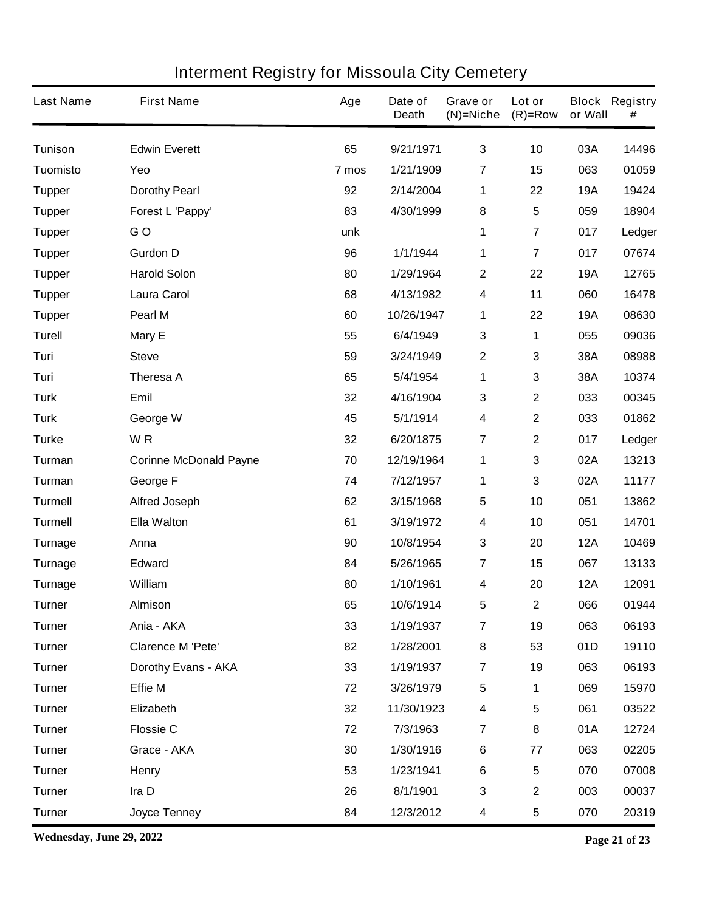| <b>Last Name</b> | <b>First Name</b>             | Age   | Date of<br><b>Death</b> | Grave or<br>$(N)$ =Niche | Lot or<br>$(R)=Row$ | or Wall    | <b>Block Registry</b><br># |
|------------------|-------------------------------|-------|-------------------------|--------------------------|---------------------|------------|----------------------------|
| <b>Tunison</b>   | <b>Edwin Everett</b>          | 65    | 9/21/1971               | $\mathbf{3}$             | 10                  | 03A        | 14496                      |
| Tuomisto         | Yeo                           | 7 mos | 1/21/1909               | $\overline{7}$           | 15                  | 063        | 01059                      |
| <b>Tupper</b>    | <b>Dorothy Pearl</b>          | 92    | 2/14/2004               | 1                        | 22                  | <b>19A</b> | 19424                      |
| <b>Tupper</b>    | Forest L 'Pappy'              | 83    | 4/30/1999               | ${\bf 8}$                | 5                   | 059        | 18904                      |
| <b>Tupper</b>    | GO                            | unk   |                         | 1                        | $\overline{7}$      | 017        | Ledger                     |
| <b>Tupper</b>    | <b>Gurdon D</b>               | 96    | 1/1/1944                | 1                        | $\overline{7}$      | 017        | 07674                      |
| <b>Tupper</b>    | <b>Harold Solon</b>           | 80    | 1/29/1964               | $\boldsymbol{2}$         | 22                  | <b>19A</b> | 12765                      |
| <b>Tupper</b>    | <b>Laura Carol</b>            | 68    | 4/13/1982               | 4                        | 11                  | 060        | 16478                      |
| <b>Tupper</b>    | Pearl M                       | 60    | 10/26/1947              | 1                        | 22                  | <b>19A</b> | 08630                      |
| <b>Turell</b>    | Mary E                        | 55    | 6/4/1949                | $\mathbf{3}$             | 1                   | 055        | 09036                      |
| Turi             | <b>Steve</b>                  | 59    | 3/24/1949               | $\mathbf{2}$             | 3                   | 38A        | 08988                      |
| Turi             | Theresa A                     | 65    | 5/4/1954                | 1                        | 3                   | 38A        | 10374                      |
| <b>Turk</b>      | Emil                          | 32    | 4/16/1904               | $\mathbf{3}$             | $\mathbf 2$         | 033        | 00345                      |
| <b>Turk</b>      | George W                      | 45    | 5/1/1914                | 4                        | $\mathbf{2}$        | 033        | 01862                      |
| <b>Turke</b>     | WR                            | 32    | 6/20/1875               | $\overline{7}$           | $\mathbf{2}$        | 017        | Ledger                     |
| Turman           | <b>Corinne McDonald Payne</b> | 70    | 12/19/1964              | 1                        | 3                   | 02A        | 13213                      |
| Turman           | George F                      | 74    | 7/12/1957               | 1                        | 3                   | 02A        | 11177                      |
| <b>Turmell</b>   | <b>Alfred Joseph</b>          | 62    | 3/15/1968               | 5                        | 10                  | 051        | 13862                      |
| <b>Turmell</b>   | <b>Ella Walton</b>            | 61    | 3/19/1972               | 4                        | 10                  | 051        | 14701                      |
| <b>Turnage</b>   | Anna                          | 90    | 10/8/1954               | $\mathbf{3}$             | 20                  | <b>12A</b> | 10469                      |
| <b>Turnage</b>   | Edward                        | 84    | 5/26/1965               | $\overline{7}$           | 15                  | 067        | 13133                      |
| <b>Turnage</b>   | William                       | 80    | 1/10/1961               | 4                        | 20                  | <b>12A</b> | 12091                      |
| Turner           | <b>Almison</b>                | 65    | 10/6/1914               | 5                        | 2                   | 066        | 01944                      |
| <b>Turner</b>    | Ania - AKA                    | 33    | 1/19/1937               | $\overline{7}$           | 19                  | 063        | 06193                      |
| <b>Turner</b>    | <b>Clarence M 'Pete'</b>      | 82    | 1/28/2001               | $\bf8$                   | 53                  | 01D        | 19110                      |
| <b>Turner</b>    | Dorothy Evans - AKA           | 33    | 1/19/1937               | $\overline{7}$           | 19                  | 063        | 06193                      |
| <b>Turner</b>    | <b>Effie M</b>                | 72    | 3/26/1979               | $\sqrt{5}$               | 1                   | 069        | 15970                      |
| <b>Turner</b>    | Elizabeth                     | 32    | 11/30/1923              | 4                        | 5                   | 061        | 03522                      |
| <b>Turner</b>    | <b>Flossie C</b>              | 72    | 7/3/1963                | $\overline{7}$           | 8                   | 01A        | 12724                      |
| <b>Turner</b>    | Grace - AKA                   | 30    | 1/30/1916               | $\bf 6$                  | 77                  | 063        | 02205                      |
| <b>Turner</b>    | <b>Henry</b>                  | 53    | 1/23/1941               | $\bf 6$                  | $5\phantom{.0}$     | 070        | 07008                      |
| <b>Turner</b>    | Ira D                         | 26    | 8/1/1901                | $\mathbf{3}$             | $\mathbf 2$         | 003        | 00037                      |
| <b>Turner</b>    | <b>Joyce Tenney</b>           | 84    | 12/3/2012               | 4                        | ${\bf 5}$           | 070        | 20319                      |

**Wednesday, June 29, 2022 Page 21 of 23**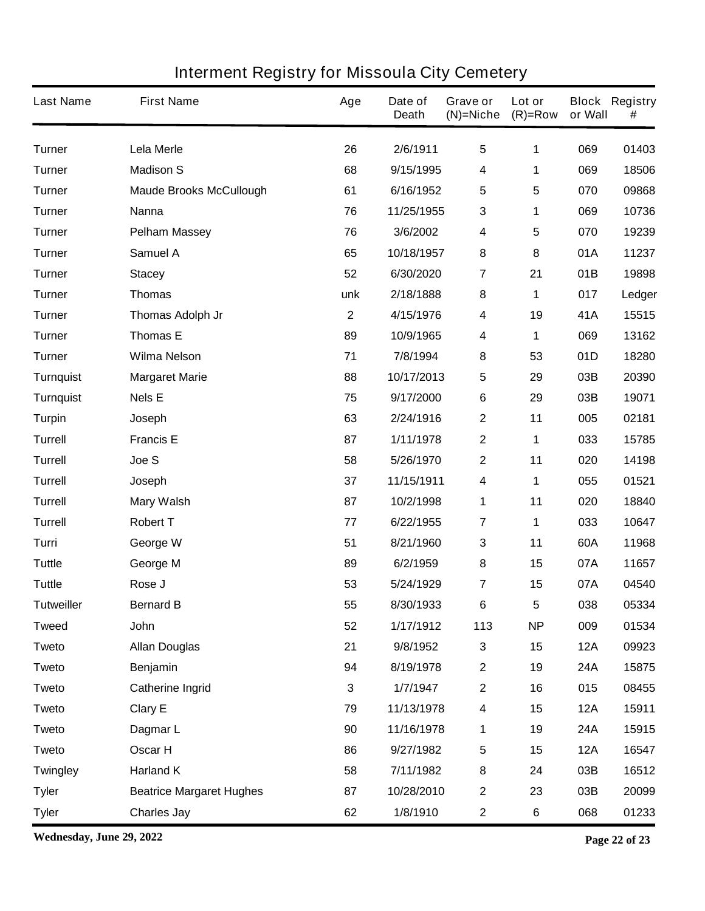| <b>Interment Registry for Missoula City Cemetery</b> |  |  |
|------------------------------------------------------|--|--|
|------------------------------------------------------|--|--|

| <b>Last Name</b>  | <b>First Name</b>               | Age            | Date of<br><b>Death</b> | Grave or<br>$(N)$ =Niche | Lot or<br>$(R)=Row$ | or Wall    | <b>Block Registry</b><br># |
|-------------------|---------------------------------|----------------|-------------------------|--------------------------|---------------------|------------|----------------------------|
| <b>Turner</b>     | Lela Merle                      | 26             | 2/6/1911                | $5\phantom{.0}$          | 1                   | 069        | 01403                      |
| <b>Turner</b>     | <b>Madison S</b>                | 68             | 9/15/1995               | 4                        | 1                   | 069        | 18506                      |
| <b>Turner</b>     | <b>Maude Brooks McCullough</b>  | 61             | 6/16/1952               | $5\phantom{.0}$          | 5                   | 070        | 09868                      |
| <b>Turner</b>     | <b>Nanna</b>                    | 76             | 11/25/1955              | 3                        | 1                   | 069        | 10736                      |
| <b>Turner</b>     | <b>Pelham Massey</b>            | 76             | 3/6/2002                | 4                        | 5                   | 070        | 19239                      |
| <b>Turner</b>     | <b>Samuel A</b>                 | 65             | 10/18/1957              | 8                        | 8                   | 01A        | 11237                      |
| <b>Turner</b>     | <b>Stacey</b>                   | 52             | 6/30/2020               | $\overline{7}$           | 21                  | 01B        | 19898                      |
| <b>Turner</b>     | <b>Thomas</b>                   | unk            | 2/18/1888               | 8                        | 1                   | 017        | Ledger                     |
| <b>Turner</b>     | <b>Thomas Adolph Jr</b>         | $\overline{2}$ | 4/15/1976               | 4                        | 19                  | 41A        | 15515                      |
| <b>Turner</b>     | <b>Thomas E</b>                 | 89             | 10/9/1965               | 4                        | 1                   | 069        | 13162                      |
| <b>Turner</b>     | <b>Wilma Nelson</b>             | 71             | 7/8/1994                | 8                        | 53                  | 01D        | 18280                      |
| <b>Turnquist</b>  | <b>Margaret Marie</b>           | 88             | 10/17/2013              | 5                        | 29                  | 03B        | 20390                      |
| <b>Turnquist</b>  | <b>Nels E</b>                   | 75             | 9/17/2000               | $\bf 6$                  | 29                  | 03B        | 19071                      |
| <b>Turpin</b>     | Joseph                          | 63             | 2/24/1916               | $\mathbf 2$              | 11                  | 005        | 02181                      |
| <b>Turrell</b>    | <b>Francis E</b>                | 87             | 1/11/1978               | $\mathbf{2}$             | 1                   | 033        | 15785                      |
| <b>Turrell</b>    | Joe S                           | 58             | 5/26/1970               | $\mathbf{2}$             | 11                  | 020        | 14198                      |
| <b>Turrell</b>    | Joseph                          | 37             | 11/15/1911              | 4                        | 1                   | 055        | 01521                      |
| <b>Turrell</b>    | <b>Mary Walsh</b>               | 87             | 10/2/1998               | 1                        | 11                  | 020        | 18840                      |
| <b>Turrell</b>    | <b>Robert T</b>                 | 77             | 6/22/1955               | $\overline{7}$           | 1                   | 033        | 10647                      |
| Turri             | George W                        | 51             | 8/21/1960               | 3                        | 11                  | 60A        | 11968                      |
| <b>Tuttle</b>     | George M                        | 89             | 6/2/1959                | 8                        | 15                  | 07A        | 11657                      |
| <b>Tuttle</b>     | Rose J                          | 53             | 5/24/1929               | 7                        | 15                  | 07A        | 04540                      |
| <b>Tutweiller</b> | <b>Bernard B</b>                | 55             | 8/30/1933               | $\bf 6$                  | 5                   | 038        | 05334                      |
| <b>Tweed</b>      | John                            | 52             | 1/17/1912               | 113                      | <b>NP</b>           | 009        | 01534                      |
| <b>Tweto</b>      | <b>Allan Douglas</b>            | 21             | 9/8/1952                | 3                        | 15                  | <b>12A</b> | 09923                      |
| <b>Tweto</b>      | <b>Benjamin</b>                 | 94             | 8/19/1978               | $\mathbf 2$              | 19                  | 24A        | 15875                      |
| <b>Tweto</b>      | <b>Catherine Ingrid</b>         | 3              | 1/7/1947                | $\mathbf 2$              | 16                  | 015        | 08455                      |
| <b>Tweto</b>      | <b>Clary E</b>                  | 79             | 11/13/1978              | 4                        | 15                  | <b>12A</b> | 15911                      |
| <b>Tweto</b>      | Dagmar L                        | 90             | 11/16/1978              | 1                        | 19                  | 24A        | 15915                      |
| <b>Tweto</b>      | <b>Oscar H</b>                  | 86             | 9/27/1982               | $\overline{\mathbf{5}}$  | 15                  | <b>12A</b> | 16547                      |
| <b>Twingley</b>   | <b>Harland K</b>                | 58             | 7/11/1982               | 8                        | 24                  | 03B        | 16512                      |
| <b>Tyler</b>      | <b>Beatrice Margaret Hughes</b> | 87             | 10/28/2010              | $\mathbf 2$              | 23                  | 03B        | 20099                      |
| <b>Tyler</b>      | <b>Charles Jay</b>              | 62             | 1/8/1910                | $\mathbf 2$              | $6\phantom{a}$      | 068        | 01233                      |

**Wednesday, June 29, 2022 Page 22 of 23**